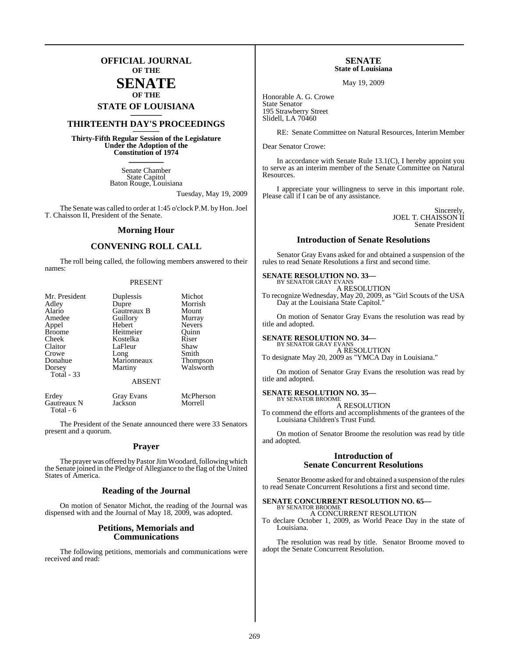## **OFFICIAL JOURNAL OF THE**

## **SENATE OF THE**

# **STATE OF LOUISIANA \_\_\_\_\_\_\_**

## **THIRTEENTH DAY'S PROCEEDINGS \_\_\_\_\_\_\_**

**Thirty-Fifth Regular Session of the Legislature Under the Adoption of the Constitution of 1974 \_\_\_\_\_\_\_**

> Senate Chamber State Capitol Baton Rouge, Louisiana

> > Tuesday, May 19, 2009

The Senate was called to order at 1:45 o'clock P.M. by Hon. Joel T. Chaisson II, President of the Senate.

#### **Morning Hour**

#### **CONVENING ROLL CALL**

The roll being called, the following members answered to their names:

#### PRESENT

| Mr. President | Duplessis     | Michot        |
|---------------|---------------|---------------|
| Adley         | Dupre         | Morrish       |
| Alario        | Gautreaux B   | Mount         |
| Amedee        | Guillory      | Murray        |
| Appel         | Hebert        | <b>Nevers</b> |
| <b>Broome</b> | Heitmeier     | Ouinn         |
| Cheek         | Kostelka      | Riser         |
| Claitor       | LaFleur       | Shaw          |
| Crowe         | Long          | Smith         |
| Donahue       | Marionneaux   | Thompson      |
| Dorsey        | Martiny       | Walsworth     |
| Total - 33    |               |               |
|               | <b>ABSENT</b> |               |

| Erdey       | Gray Evans | McPherson |
|-------------|------------|-----------|
| Gautreaux N | Jackson    | Morrell   |
| Total - 6   |            |           |

The President of the Senate announced there were 33 Senators present and a quorum.

#### **Prayer**

The prayer was offered by Pastor Jim Woodard, following which the Senate joined in the Pledge of Allegiance to the flag of the United States of America.

#### **Reading of the Journal**

On motion of Senator Michot, the reading of the Journal was dispensed with and the Journal of May 18, 2009, was adopted.

#### **Petitions, Memorials and Communications**

The following petitions, memorials and communications were received and read:

#### **SENATE State of Louisiana**

May 19, 2009

Honorable A. G. Crowe State Senator 195 Strawberry Street Slidell, LA 70460

RE: Senate Committee on Natural Resources, Interim Member

Dear Senator Crowe:

In accordance with Senate Rule 13.1(C), I hereby appoint you to serve as an interim member of the Senate Committee on Natural Resources.

I appreciate your willingness to serve in this important role. Please call if I can be of any assistance.

> Sincerely, JOEL T. CHAISSON II Senate President

### **Introduction of Senate Resolutions**

Senator Gray Evans asked for and obtained a suspension of the rules to read Senate Resolutions a first and second time.

#### **SENATE RESOLUTION NO. 33—**

BY SENATOR GRAY EVANS A RESOLUTION

To recognize Wednesday, May 20, 2009, as "Girl Scouts of the USA Day at the Louisiana State Capitol."

On motion of Senator Gray Evans the resolution was read by title and adopted.

#### **SENATE RESOLUTION NO. 34—**

BY SENATOR GRAY EVAN A RESOLUTION To designate May 20, 2009 as "YMCA Day in Louisiana."

On motion of Senator Gray Evans the resolution was read by title and adopted.

#### **SENATE RESOLUTION NO. 35—** BY SENATOR BROOME

A RESOLUTION

To commend the efforts and accomplishments of the grantees of the Louisiana Children's Trust Fund.

On motion of Senator Broome the resolution was read by title and adopted.

#### **Introduction of Senate Concurrent Resolutions**

Senator Broome asked for and obtained a suspension of the rules to read Senate Concurrent Resolutions a first and second time.

#### **SENATE CONCURRENT RESOLUTION NO. 65—** BY SENATOR BROOME

A CONCURRENT RESOLUTION

To declare October 1, 2009, as World Peace Day in the state of Louisiana.

The resolution was read by title. Senator Broome moved to adopt the Senate Concurrent Resolution.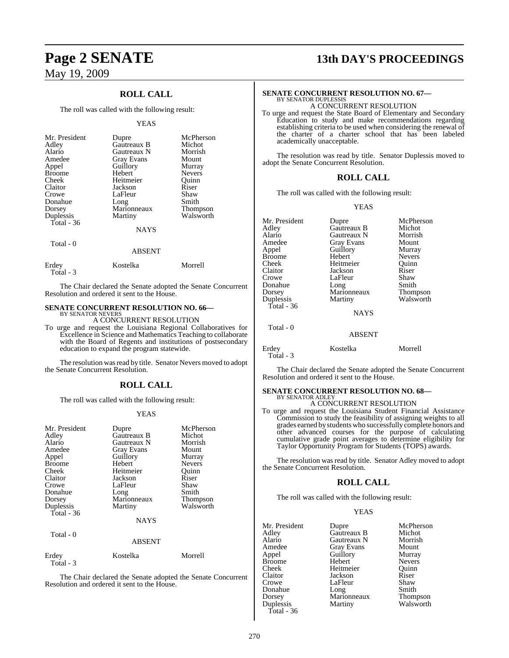## **ROLL CALL**

The roll was called with the following result:

#### YEAS

| Mr. President<br>Adley<br>Alario<br>Amedee<br>Appel<br><b>Broome</b><br>Cheek<br>Claitor<br>Crowe<br>Donahue<br>Dorsey<br>Duplessis<br>Total $-36$ | Dupre<br>Gautreaux B<br>Gautreaux N<br>Gray Evans<br>Guillory<br>Hebert<br>Heitmeier<br>Jackson<br>LaFleur<br>Long<br>Marionneaux<br>Martiny<br><b>NAYS</b> | McPherson<br>Michot<br>Morrish<br>Mount<br>Murray<br><b>Nevers</b><br>Ouinn<br>Riser<br>Shaw<br>Smith<br><b>Thompson</b><br>Walsworth |
|----------------------------------------------------------------------------------------------------------------------------------------------------|-------------------------------------------------------------------------------------------------------------------------------------------------------------|---------------------------------------------------------------------------------------------------------------------------------------|
|                                                                                                                                                    |                                                                                                                                                             |                                                                                                                                       |
| Total - 0                                                                                                                                          | ABSENT                                                                                                                                                      |                                                                                                                                       |

| Erdey<br>Total - 3 | Kostelka | Morrell |
|--------------------|----------|---------|

The Chair declared the Senate adopted the Senate Concurrent Resolution and ordered it sent to the House.

# **SENATE CONCURRENT RESOLUTION NO. 66—** BY SENATOR NEVERS

A CONCURRENT RESOLUTION

To urge and request the Louisiana Regional Collaboratives for Excellence in Science and Mathematics Teaching to collaborate with the Board of Regents and institutions of postsecondary education to expand the program statewide.

The resolution was read by title. Senator Nevers moved to adopt the Senate Concurrent Resolution.

### **ROLL CALL**

The roll was called with the following result:

#### YEAS

| Mr. President<br>Adley<br>Alario<br>Amedee<br>Appel<br><b>Broome</b><br>Cheek<br>Claitor<br>Crowe<br>Donahue<br>Dorsey<br>Duplessis<br>Total - 36 | Dupre<br>Gautreaux B<br>Gautreaux N<br><b>Gray Evans</b><br>Guillory<br>Hebert<br>Heitmeier<br>Jackson<br>LaFleur<br>Long<br>Marionneaux<br>Martiny<br><b>NAYS</b> | McPherson<br>Michot<br>Morrish<br>Mount<br>Murray<br><b>Nevers</b><br>Ouinn<br>Riser<br>Shaw<br>Smith<br><b>Thompson</b><br>Walsworth |
|---------------------------------------------------------------------------------------------------------------------------------------------------|--------------------------------------------------------------------------------------------------------------------------------------------------------------------|---------------------------------------------------------------------------------------------------------------------------------------|
| Total - 0                                                                                                                                         | <b>ABSENT</b>                                                                                                                                                      |                                                                                                                                       |

| Erdey     | Kostelka | Morrell |
|-----------|----------|---------|
| Total - 3 |          |         |

The Chair declared the Senate adopted the Senate Concurrent Resolution and ordered it sent to the House.

# **Page 2 SENATE 13th DAY'S PROCEEDINGS**

#### **SENATE CONCURRENT RESOLUTION NO. 67—** BY SENATOR DUPLESSIS A CONCURRENT RESOLUTION

To urge and request the State Board of Elementary and Secondary Education to study and make recommendations regarding establishing criteria to be used when considering the renewal of the charter of a charter school that has been labeled academically unacceptable.

The resolution was read by title. Senator Duplessis moved to adopt the Senate Concurrent Resolution.

#### **ROLL CALL**

The roll was called with the following result:

#### YEAS

| Mr. President<br>Adley<br>Alario<br>Amedee<br>Appel<br><b>Broome</b><br>Cheek<br>Claitor | Dupre<br>Gautreaux B<br>Gautreaux N<br>Gray Evans<br>Guillory<br>Hebert<br>Heitmeier<br>Jackson | McPherson<br>Michot<br>Morrish<br>Mount<br>Murray<br><b>Nevers</b><br>Ouinn<br>Riser |
|------------------------------------------------------------------------------------------|-------------------------------------------------------------------------------------------------|--------------------------------------------------------------------------------------|
| Crowe<br>Donahue<br>Dorsey<br>Duplessis<br>Total - $36$                                  | LaFleur<br>Long<br>Marionneaux<br>Martiny<br><b>NAYS</b>                                        | Shaw<br>Smith<br>Thompson<br>Walsworth                                               |
| Total - 0                                                                                | ABSENT                                                                                          |                                                                                      |
| Erdey<br>Total - 3                                                                       | Kostelka                                                                                        | Morrell                                                                              |

The Chair declared the Senate adopted the Senate Concurrent Resolution and ordered it sent to the House.

#### **SENATE CONCURRENT RESOLUTION NO. 68—** BY SENATOR ADLE

### A CONCURRENT RESOLUTION

To urge and request the Louisiana Student Financial Assistance Commission to study the feasibility of assigning weights to all grades earned by studentswho successfully complete honors and other advanced courses for the purpose of calculating cumulative grade point averages to determine eligibility for Taylor Opportunity Program for Students (TOPS) awards.

The resolution was read by title. Senator Adley moved to adopt the Senate Concurrent Resolution.

#### **ROLL CALL**

The roll was called with the following result:

#### YEAS

| Mr. President | Dupre               | McPherson       |
|---------------|---------------------|-----------------|
| Adley         | Gautreaux B         | Michot          |
| Alario        | Gautreaux N         | Morrish         |
| Amedee        | <b>Gray Evans</b>   | Mount           |
| Appel         | Guillory            | Murray          |
| Broome        | Hebert              | <b>Nevers</b>   |
| Cheek         | Heitmeier           | Quinn           |
| Claitor       | Jackson             | Riser           |
| Crowe         | LaFleur             | Shaw            |
| Donahue       |                     | Smith           |
| Dorsey        | Long<br>Marionneaux | <b>Thompson</b> |
| Duplessis     | Martiny             | Walsworth       |
| Total - 36    |                     |                 |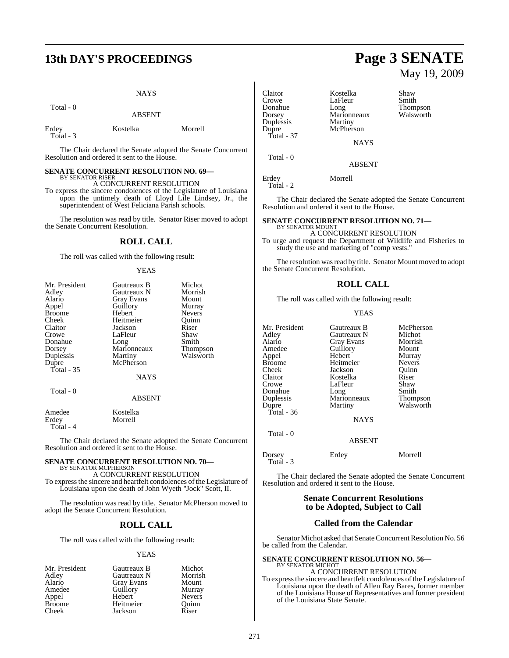# **13th DAY'S PROCEEDINGS Page 3 SENATE**

#### **NAYS**

Total - 0

ABSENT

| Erdey     | Kostelka | Morrell |
|-----------|----------|---------|
| Total - 3 |          |         |

The Chair declared the Senate adopted the Senate Concurrent Resolution and ordered it sent to the House.

#### **SENATE CONCURRENT RESOLUTION NO. 69—** BY SENATOR RISER

A CONCURRENT RESOLUTION

To express the sincere condolences of the Legislature of Louisiana upon the untimely death of Lloyd Lile Lindsey, Jr., the superintendent of West Feliciana Parish schools.

The resolution was read by title. Senator Riser moved to adopt the Senate Concurrent Resolution.

### **ROLL CALL**

The roll was called with the following result:

#### YEAS

| Mr. President     | Gautreaux B   | Michot        |
|-------------------|---------------|---------------|
| Adley             | Gautreaux N   | Morrish       |
| Alario            | Gray Evans    | Mount         |
| Appel             | Guillory      | Murray        |
| <b>Broome</b>     | Hebert        | <b>Nevers</b> |
| Cheek             | Heitmeier     | Ouinn         |
| Claitor           | Jackson       | Riser         |
| Crowe             | LaFleur       | Shaw          |
| Donahue           | Long          | Smith         |
| Dorsey            | Marionneaux   | Thompson      |
| Duplessis         | Martiny       | Walsworth     |
| Dupre             | McPherson     |               |
| <b>Total - 35</b> |               |               |
|                   | <b>NAYS</b>   |               |
| Total - 0         |               |               |
|                   | <b>ABSENT</b> |               |
| Amedee            | Kostelka      |               |

Erdey Morrell Total - 4

The Chair declared the Senate adopted the Senate Concurrent Resolution and ordered it sent to the House.

#### **SENATE CONCURRENT RESOLUTION NO. 70—** BY SENATOR MCPHERSON

A CONCURRENT RESOLUTION

To expressthe sincere and heartfelt condolences of the Legislature of Louisiana upon the death of John Wyeth "Jock" Scott, II.

The resolution was read by title. Senator McPherson moved to adopt the Senate Concurrent Resolution.

## **ROLL CALL**

The roll was called with the following result:

#### YEAS

| Mr. President | Gautreaux B | Michot        |
|---------------|-------------|---------------|
| Adley         | Gautreaux N | Morrish       |
| Alario        | Gray Evans  | Mount         |
| Amedee        | Guillory    | Murray        |
| Appel         | Hebert      | <b>Nevers</b> |
| <b>Broome</b> | Heitmeier   | Ouinn         |
| Cheek         | Jackson     | Riser         |

# May 19, 2009

| Claitor<br>Crowe<br>Donahue<br>Dorsey<br>Duplessis<br>Dupre<br>Total - 37 | Kostelka<br>LaFleur<br>Long<br>Marionneaux<br>Martiny<br>McPherson | Shaw<br>Smith<br><b>Thompson</b><br>Walsworth |
|---------------------------------------------------------------------------|--------------------------------------------------------------------|-----------------------------------------------|
|                                                                           | <b>NAYS</b>                                                        |                                               |
| Total - 0                                                                 | ABSENT                                                             |                                               |
| Erdey<br>Total - 2                                                        | Morrell                                                            |                                               |

The Chair declared the Senate adopted the Senate Concurrent Resolution and ordered it sent to the House.

#### **SENATE CONCURRENT RESOLUTION NO. 71—** BY SENATOR MOUNT

A CONCURRENT RESOLUTION

To urge and request the Department of Wildlife and Fisheries to study the use and marketing of "comp vests."

The resolution was read by title. Senator Mount moved to adopt the Senate Concurrent Resolution.

## **ROLL CALL**

The roll was called with the following result:

#### YEAS

Mr. President Gautreaux B McPherson<br>Adley Gautreaux N Michot Adley Gautreaux N Michot Alario Gray Evans Morrish Appel Hebert Murray<br>Broome Heitmeier Nevers Broome Heitmeier Nevers<br>
Cheek Jackson Quinn Cheek Jackson Quinn Claitor Kostelka Riser Donahue Long Smith<br>
Duplessis Marionneaux Thompson Duplessis Marionneaux<br>
Dupre Martiny Total - 36 Total - 0

Amedeu<br>
Hebert Murray<br>
Murray LaFleur Shaw<br>Long Smith Walsworth

**NAYS** 

## ABSENT Dorsey Erdey Morrell Total - 3

The Chair declared the Senate adopted the Senate Concurrent Resolution and ordered it sent to the House.

### **Senate Concurrent Resolutions to be Adopted, Subject to Call**

#### **Called from the Calendar**

Senator Michot asked that Senate Concurrent Resolution No. 56 be called from the Calendar.

#### **SENATE CONCURRENT RESOLUTION NO. 56—** BY SENATOR MICHOT

A CONCURRENT RESOLUTION To expressthe sincere and heartfelt condolences of the Legislature of Louisiana upon the death of Allen Ray Bares, former member of the Louisiana House of Representatives and former president of the Louisiana State Senate.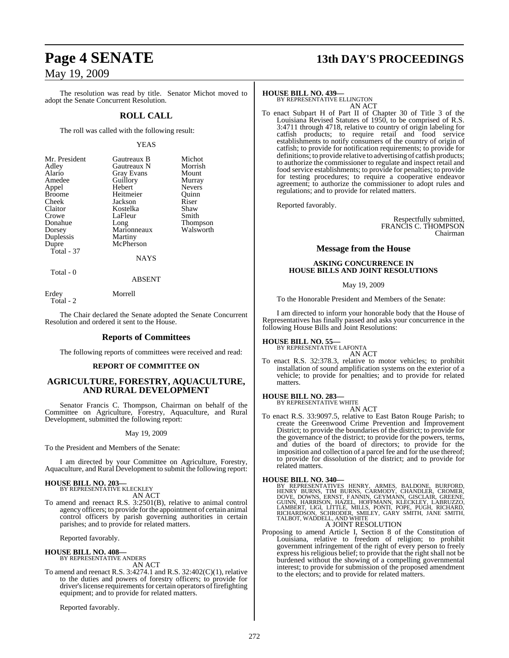The resolution was read by title. Senator Michot moved to adopt the Senate Concurrent Resolution.

#### **ROLL CALL**

The roll was called with the following result:

#### YEAS

| Mr. President | Gautreaux B       | Michot          |
|---------------|-------------------|-----------------|
| Adley         | Gautreaux N       | Morrish         |
| Alario        | <b>Gray Evans</b> | Mount           |
| Amedee        | Guillory          | Murray          |
| Appel         | Hebert            | <b>Nevers</b>   |
| <b>Broome</b> | Heitmeier         | Ouinn           |
| Cheek         | Jackson           | Riser           |
| Claitor       | Kostelka          | Shaw            |
| Crowe         | LaFleur           | Smith           |
| Donahue       | Long              | <b>Thompson</b> |
| Dorsey        | Marionneaux       | Walsworth       |
| Duplessis     | Martiny           |                 |
| Dupre         | McPherson         |                 |
| Total - 37    |                   |                 |
|               | NAYS              |                 |

Total - 0

# ABSENT

Erdey Morrell Total - 2

The Chair declared the Senate adopted the Senate Concurrent Resolution and ordered it sent to the House.

#### **Reports of Committees**

The following reports of committees were received and read:

#### **REPORT OF COMMITTEE ON**

#### **AGRICULTURE, FORESTRY, AQUACULTURE, AND RURAL DEVELOPMENT**

Senator Francis C. Thompson, Chairman on behalf of the Committee on Agriculture, Forestry, Aquaculture, and Rural Development, submitted the following report:

#### May 19, 2009

To the President and Members of the Senate:

I am directed by your Committee on Agriculture, Forestry, Aquaculture, and Rural Development to submit the following report:

# **HOUSE BILL NO. 203—** BY REPRESENTATIVE KLECKLEY

AN ACT

To amend and reenact R.S. 3:2501(B), relative to animal control agency officers; to provide forthe appointment of certain animal control officers by parish governing authorities in certain parishes; and to provide for related matters.

Reported favorably.

### **HOUSE BILL NO. 408—**

BY REPRESENTATIVE ANDERS AN ACT

To amend and reenact R.S. 3:4274.1 and R.S. 32:402(C)(1), relative to the duties and powers of forestry officers; to provide for driver's license requirements for certain operators of firefighting equipment; and to provide for related matters.

Reported favorably.

# **Page 4 SENATE 13th DAY'S PROCEEDINGS**

#### **HOUSE BILL NO. 439—**

BY REPRESENTATIVE ELLINGTON AN ACT

To enact Subpart H of Part II of Chapter 30 of Title 3 of the Louisiana Revised Statutes of 1950, to be comprised of R.S. 3:4711 through 4718, relative to country of origin labeling for catfish products; to require retail and food service establishments to notify consumers of the country of origin of catfish; to provide for notification requirements; to provide for definitions; to provide relative to advertising of catfish products; to authorize the commissioner to regulate and inspect retail and food service establishments; to provide for penalties; to provide for testing procedures; to require a cooperative endeavor agreement; to authorize the commissioner to adopt rules and regulations; and to provide for related matters.

Reported favorably.

Respectfully submitted, FRANCIS C. THOMPSON Chairman

#### **Message from the House**

#### **ASKING CONCURRENCE IN HOUSE BILLS AND JOINT RESOLUTIONS**

#### May 19, 2009

To the Honorable President and Members of the Senate:

I am directed to inform your honorable body that the House of Representatives has finally passed and asks your concurrence in the following House Bills and Joint Resolutions:

#### **HOUSE BILL NO. 55—**

BY REPRESENTATIVE LAFONTA AN ACT

To enact R.S. 32:378.3, relative to motor vehicles; to prohibit installation of sound amplification systems on the exterior of a vehicle; to provide for penalties; and to provide for related matters.

#### **HOUSE BILL NO. 283—**

BY REPRESENTATIVE WHITE AN ACT

To enact R.S. 33:9097.5, relative to East Baton Rouge Parish; to create the Greenwood Crime Prevention and Improvement District; to provide the boundaries of the district; to provide for the governance of the district; to provide for the powers, terms, and duties of the board of directors; to provide for the imposition and collection of a parcel fee and for the use thereof; to provide for dissolution of the district; and to provide for related matters.

#### **HOUSE BILL NO. 340—**

BY REPRESENTATIVES HENRY, ARMES, BALDONE, BURFORD,<br>HENRY BURNS, TIM BURNS, CARMODY, CHANDLER, CROMER,<br>DOVE, DOWNS, ERNST, FANNIN, GEYMANN, GISCLAIR, GREENE,<br>GUINN, HARRISON, HAZEL, HOFFMANN, KLECKLEY, LABRUZZO,<br>LAMBERT, LI

#### A JOINT RESOLUTION

Proposing to amend Article I, Section 8 of the Constitution of Louisiana, relative to freedom of religion; to prohibit government infringement of the right of every person to freely express his religious belief; to provide that the right shall not be burdened without the showing of a compelling governmental interest; to provide for submission of the proposed amendment to the electors; and to provide for related matters.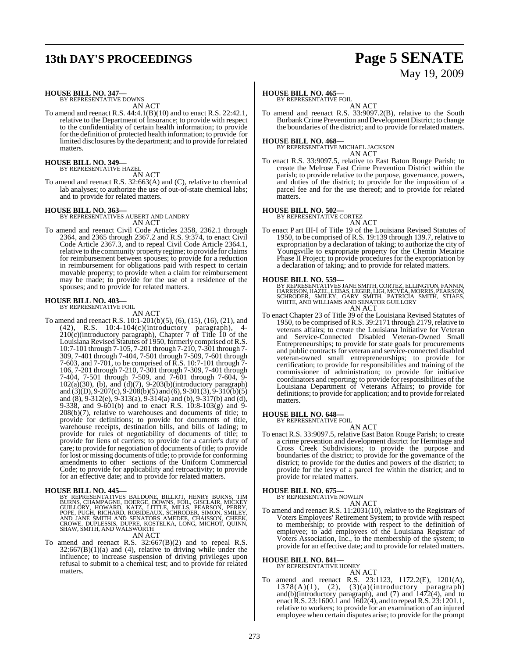# **13th DAY'S PROCEEDINGS Page 5 SENATE**

# May 19, 2009

# **HOUSE BILL NO. 347—** BY REPRESENTATIVE DOWNS

AN ACT

To amend and reenact R.S. 44:4.1(B)(10) and to enact R.S. 22:42.1, relative to the Department of Insurance; to provide with respect to the confidentiality of certain health information; to provide for the definition of protected health information; to provide for limited disclosures by the department; and to provide for related matters.

# **HOUSE BILL NO. 349—** BY REPRESENTATIVE HAZEL

AN ACT

To amend and reenact R.S. 32:663(A) and (C), relative to chemical lab analyses; to authorize the use of out-of-state chemical labs; and to provide for related matters.

#### **HOUSE BILL NO. 363—**

BY REPRESENTATIVES AUBERT AND LANDRY AN ACT

To amend and reenact Civil Code Articles 2358, 2362.1 through 2364, and 2365 through 2367.2 and R.S. 9:374, to enact Civil Code Article 2367.3, and to repeal Civil Code Article 2364.1, relative to the community property regime; to provide for claims for reimbursement between spouses; to provide for a reduction in reimbursement for obligations paid with respect to certain movable property; to provide when a claim for reimbursement may be made; to provide for the use of a residence of the spouses; and to provide for related matters.

# **HOUSE BILL NO. 403—** BY REPRESENTATIVE FOIL

AN ACT

To amend and reenact R.S. 10:1-201(b)(5), (6), (15), (16), (21), and (42), R.S. 10:4-104(c)(introductory paragraph), 4- 210(c)(introductory paragraph), Chapter 7 of Title 10 of the Louisiana Revised Statutes of 1950, formerly comprised of R.S. 10:7-101 through 7-105, 7-201 through 7-210, 7-301 through 7- 309, 7-401 through 7-404, 7-501 through 7-509, 7-601 through 7-603, and 7-701, to be comprised of R.S. 10:7-101 through 7- 106, 7-201 through 7-210, 7-301 through 7-309, 7-401 through 7-404, 7-501 through 7-509, and 7-601 through 7-604, 9-  $102(a)(30)$ , (b), and  $(d)(7)$ ,  $9-203(b)(introductory paragraph)$ and (3)(D), 9-207(c), 9-208(b)(5) and (6), 9-301(3), 9-310(b)(5) and (8), 9-312(e), 9-313(a), 9-314(a) and (b), 9-317(b) and (d), 9-338, and 9-601(b) and to enact R.S. 10:8-103(g) and 9- 208(b)(7), relative to warehouses and documents of title; to provide for definitions; to provide for documents of title, warehouse receipts, destination bills, and bills of lading; to provide for rules of negotiability of documents of title; to provide for liens of carriers; to provide for a carrier's duty of care; to provide for negotiation of documents of title; to provide for lost or missing documents of title; to provide for conforming amendments to other sections of the Uniform Commercial Code; to provide for applicability and retroactivity; to provide for an effective date; and to provide for related matters.

#### **HOUSE BILL NO. 445—**

BY REPRESENTATIVES BALDONE, BILLIOT, HENRY BURNS, TIM<br>BURNS, CHAMPAGNE, DOERGE, DOWNS, FOIL, GISCLAIR, MICKEY<br>GUILLORY, HOWARD, KATZ, LITTLE, MILLS, PEARSON, PERRY,<br>POPE, PUGH, RICHARD, ROBIDEAUX, SCHRODER, SIMON, SMILEY,<br>

## AN ACT

To amend and reenact R.S. 32:667(B)(2) and to repeal R.S.  $32:667(B)(1)(a)$  and (4), relative to driving while under the influence; to increase suspension of driving privileges upon refusal to submit to a chemical test; and to provide for related matters.

#### **HOUSE BILL NO. 465—**

BY REPRESENTATIVE FOIL

AN ACT To amend and reenact R.S. 33:9097.2(B), relative to the South BurbankCrime Prevention and Development District; to change the boundaries of the district; and to provide for related matters.

**HOUSE BILL NO. 468—** BY REPRESENTATIVE MICHAEL JACKSON AN ACT

To enact R.S. 33:9097.5, relative to East Baton Rouge Parish; to create the Melrose East Crime Prevention District within the parish; to provide relative to the purpose, governance, powers, and duties of the district; to provide for the imposition of a parcel fee and for the use thereof; and to provide for related matters.

#### **HOUSE BILL NO. 502—**

BY REPRESENTATIVE CORTEZ

- AN ACT
- To enact Part III-I of Title 19 of the Louisiana Revised Statutes of 1950, to be comprised of R.S. 19:139 through 139.7, relative to expropriation by a declaration of taking; to authorize the city of Youngsville to expropriate property for the Chemin Metairie Phase II Project; to provide procedures for the expropriation by a declaration of taking; and to provide for related matters.

#### **HOUSE BILL NO. 559—**

BY REPRESENTATIVES JANE SMITH, CORTEZ, ELLINGTON, FANNIN,<br>HARRISON, HAZEL, LEBAS, LEGER, LIGI, MCVEA, MORRIS, PEARSON,<br>SCHRODER, SMILEY, GARY SMITH, PATRICIA SMITH, STIAES,<br>WHITE, AND WILLIAMS AND SENATOR GUILL AN ACT

To enact Chapter 23 of Title 39 of the Louisiana Revised Statutes of 1950, to be comprised of R.S. 39:2171 through 2179, relative to veterans affairs; to create the Louisiana Initiative for Veteran and Service-Connected Disabled Veteran-Owned Small Entrepreneurships; to provide for state goals for procurements and public contracts for veteran and service-connected disabled veteran-owned small entrepreneurships; to provide for certification; to provide for responsibilities and training of the commissioner of administration; to provide for initiative coordinators and reporting; to provide for responsibilities of the Louisiana Department of Veterans Affairs; to provide for definitions; to provide for application; and to provide for related matters.

#### **HOUSE BILL NO. 648—** BY REPRESENTATIVE FOIL

AN ACT

To enact R.S. 33:9097.5, relative East Baton Rouge Parish; to create a crime prevention and development district for Hermitage and Cross Creek Subdivisions; to provide the purpose and boundaries of the district; to provide for the governance of the district; to provide for the duties and powers of the district; to provide for the levy of a parcel fee within the district; and to provide for related matters.

#### **HOUSE BILL NO. 675—**

BY REPRESENTATIVE NOWLIN AN ACT

To amend and reenact R.S. 11:2031(10), relative to the Registrars of Voters Employees' Retirement System; to provide with respect to membership; to provide with respect to the definition of employee; to add employees of the Louisiana Registrar of Voters Association, Inc., to the membership of the system; to provide for an effective date; and to provide for related matters.

# **HOUSE BILL NO. 841—** BY REPRESENTATIVE HONEY

AN ACT To amend and reenact R.S. 23:1123, 1172.2(E), 1201(A),  $1378(A)(1)$ ,  $(2)$ ,  $(3)(a)(introducing paragraph)$ and(b)(introductory paragraph), and (7) and 1472(4), and to enact R.S. 23:1600.1 and 1602(4), and to repealR.S. 23:1201.1, relative to workers; to provide for an examination of an injured employee when certain disputes arise; to provide for the prompt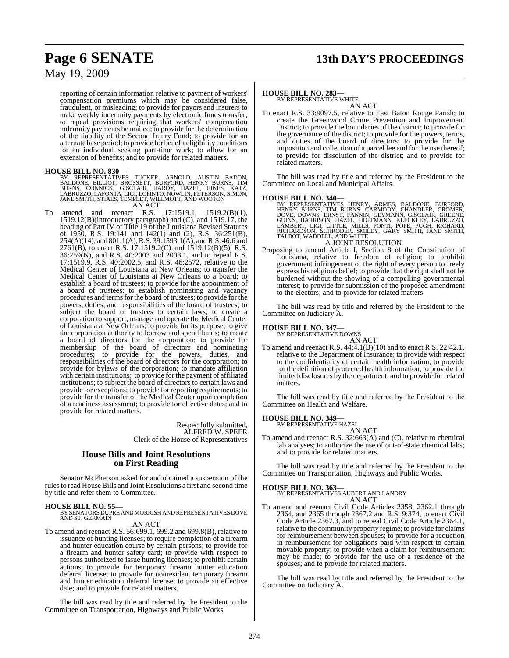# **Page 6 SENATE 13th DAY'S PROCEEDINGS**

## May 19, 2009

reporting of certain information relative to payment of workers' compensation premiums which may be considered false, fraudulent, or misleading; to provide for payors and insurers to make weekly indemnity payments by electronic funds transfer; to repeal provisions requiring that workers' compensation indemnity payments be mailed; to provide for the determination of the liability of the Second Injury Fund; to provide for an alternate base period; to provide for benefit eligibility conditions for an individual seeking part-time work; to allow for an extension of benefits; and to provide for related matters.

**HOUSE BILL NO. 830—**<br>BY REPRESENTATIVES TUCKER, ARNOLD, AUSTIN BADON,<br>BALDONE, BILLIOT, BROSSETT, BURFORD, HENRY BURNS, TIM<br>BURNS, CONNICK, GISCLAIR, HARDY, HAZEL, HINES, KATZ,<br>LABRUZZO, LAFONTA, LIGI, LOPINTO, NOWLIN, PE

- 
- AN ACT<br>and reenact R.S. To amend and reenact R.S. 17:1519.1, 1519.2(B)(1), 1519.12(B)(introductory paragraph) and (C), and 1519.17, the heading of Part IV of Title 19 of the Louisiana Revised Statutes of 1950, R.S. 19:141 and 142(1) and (2), R.S. 36:251(B),  $254(A)(14)$ , and  $801.1(A)$ , R.S.  $39:1593.1(A)$ , and R.S. 46:6 and 2761(B), to enact R.S. 17:1519.2(C) and 1519.12(B)(5), R.S. 36:259(N), and R.S. 40:2003 and 2003.1, and to repeal R.S. 17:1519.9, R.S. 40:2002.5, and R.S. 46:2572, relative to the Medical Center of Louisiana at New Orleans; to transfer the Medical Center of Louisiana at New Orleans to a board; to establish a board of trustees; to provide for the appointment of a board of trustees; to establish nominating and vacancy procedures and terms for the board of trustees; to provide for the powers, duties, and responsibilities of the board of trustees; to subject the board of trustees to certain laws; to create a corporation to support, manage and operate the Medical Center of Louisiana at New Orleans; to provide for its purpose; to give the corporation authority to borrow and spend funds; to create a board of directors for the corporation; to provide for membership of the board of directors and nominating procedures; to provide for the powers, duties, and procedures; to provide for the powers, duties, and responsibilities of the board of directors for the corporation; to provide for bylaws of the corporation; to mandate affiliation with certain institutions; to provide for the payment of affiliated institutions; to subject the board of directors to certain laws and provide for exceptions; to provide for reporting requirements; to provide for the transfer of the Medical Center upon completion of a readiness assessment; to provide for effective dates; and to provide for related matters.

Respectfully submitted, ALFRED W. SPEER Clerk of the House of Representatives

#### **House Bills and Joint Resolutions on First Reading**

Senator McPherson asked for and obtained a suspension of the rules to read House Bills and Joint Resolutions a first and second time by title and refer them to Committee.

#### **HOUSE BILL NO. 55—**

BY SENATORS DUPRE AND MORRISH AND REPRESENTATIVES DOVE AND ST. GERMAIN

### AN ACT

To amend and reenact R.S. 56:699.1, 699.2 and 699.8(B), relative to issuance of hunting licenses; to require completion of a firearm and hunter education course by certain persons; to provide for a firearm and hunter safety card; to provide with respect to persons authorized to issue hunting licenses; to prohibit certain actions; to provide for temporary firearm hunter education deferral license; to provide for nonresident temporary firearm and hunter education deferral license; to provide an effective date; and to provide for related matters.

The bill was read by title and referred by the President to the Committee on Transportation, Highways and Public Works.

#### **HOUSE BILL NO. 283—**

BY REPRESENTATIVE WHITE AN ACT

To enact R.S. 33:9097.5, relative to East Baton Rouge Parish; to create the Greenwood Crime Prevention and Improvement District; to provide the boundaries of the district; to provide for the governance of the district; to provide for the powers, terms, and duties of the board of directors; to provide for the imposition and collection of a parcel fee and for the use thereof; to provide for dissolution of the district; and to provide for related matters.

The bill was read by title and referred by the President to the Committee on Local and Municipal Affairs.

#### **HOUSE BILL NO. 340—**

BY REPRESENTATIVES HENRY, ARMES, BALDONE, BURFORD,<br>HENRY BURNS, TIM BURNS, CARMODY, CHANDLER, CROMER,<br>DOVE, DOWNS, ERNST, FANNIN, GEYMANN, GISCLAIR, GREENE,<br>GUINN, HARRISON, HAZEL, HOFFMANN, KLECKLEY, LABRUZZO,<br>LAMBERT, LI

### A JOINT RESOLUTION

Proposing to amend Article I, Section 8 of the Constitution of Louisiana, relative to freedom of religion; to prohibit government infringement of the right of every person to freely express his religious belief; to provide that the right shall not be burdened without the showing of a compelling governmental interest; to provide for submission of the proposed amendment to the electors; and to provide for related matters.

The bill was read by title and referred by the President to the Committee on Judiciary A.

# **HOUSE BILL NO. 347—** BY REPRESENTATIVE DOWNS

AN ACT To amend and reenact R.S. 44:4.1(B)(10) and to enact R.S. 22:42.1, relative to the Department of Insurance; to provide with respect to the confidentiality of certain health information; to provide for the definition of protected health information; to provide for limited disclosures by the department; and to provide for related matters.

The bill was read by title and referred by the President to the Committee on Health and Welfare.

#### **HOUSE BILL NO. 349—**

BY REPRESENTATIVE HAZEL

AN ACT To amend and reenact R.S. 32:663(A) and (C), relative to chemical lab analyses; to authorize the use of out-of-state chemical labs; and to provide for related matters.

The bill was read by title and referred by the President to the Committee on Transportation, Highways and Public Works.

**HOUSE BILL NO. 363—** BY REPRESENTATIVES AUBERT AND LANDRY

- AN ACT
- To amend and reenact Civil Code Articles 2358, 2362.1 through 2364, and 2365 through 2367.2 and R.S. 9:374, to enact Civil Code Article 2367.3, and to repeal Civil Code Article 2364.1, relative to the community property regime; to provide for claims for reimbursement between spouses; to provide for a reduction in reimbursement for obligations paid with respect to certain movable property; to provide when a claim for reimbursement may be made; to provide for the use of a residence of the spouses; and to provide for related matters.

The bill was read by title and referred by the President to the Committee on Judiciary A.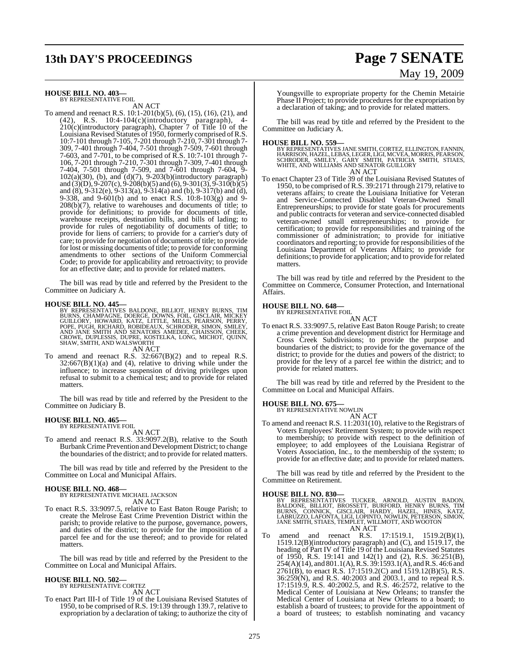# **13th DAY'S PROCEEDINGS Page 7 SENATE**

#### **HOUSE BILL NO. 403—** BY REPRESENTATIVE FOIL

AN ACT

To amend and reenact R.S. 10:1-201(b)(5), (6), (15), (16), (21), and (42), R.S. 10:4-104(c)(introductory paragraph), 4- 210(c)(introductory paragraph), Chapter 7 of Title 10 of the Louisiana Revised Statutes of 1950, formerly comprised ofR.S. 10:7-101 through 7-105, 7-201 through 7-210, 7-301 through 7- 309, 7-401 through 7-404, 7-501 through 7-509, 7-601 through 7-603, and 7-701, to be comprised of R.S. 10:7-101 through 7- 106, 7-201 through 7-210, 7-301 through 7-309, 7-401 through 7-404, 7-501 through 7-509, and 7-601 through 7-604, 9-  $102(a)(30)$ , (b), and  $(d)(7)$ ,  $9-203(b)(introductory paragraph)$ and (3)(D), 9-207(c), 9-208(b)(5) and (6), 9-301(3), 9-310(b)(5) and (8), 9-312(e), 9-313(a), 9-314(a) and (b), 9-317(b) and (d), 9-338, and 9-601(b) and to enact R.S. 10:8-103(g) and 9- 208(b)(7), relative to warehouses and documents of title; to provide for definitions; to provide for documents of title, warehouse receipts, destination bills, and bills of lading; to provide for rules of negotiability of documents of title; to provide for liens of carriers; to provide for a carrier's duty of care; to provide for negotiation of documents of title; to provide for lost or missing documents of title; to provide for conforming amendments to other sections of the Uniform Commercial Code; to provide for applicability and retroactivity; to provide for an effective date; and to provide for related matters.

The bill was read by title and referred by the President to the Committee on Judiciary A.

#### **HOUSE BILL NO. 445—**

BY REPRESENTATIVES BALDONE, BILLIOT, HENRY BURNS, TIM<br>BURNS, CHAMPAGNE, DOERGE, DOWNS, FOIL, GISCLAIR, MICKEY<br>GUILLORY, HOWARD, KATZ, LITTLE, MILLS, PEARSON, PERRY,<br>POPE, PUGH, RICHARD, ROBIDEAUX, SCHRODER, SIMON, SMILEY,<br> AN ACT

To amend and reenact R.S. 32:667(B)(2) and to repeal R.S.  $32:667(B)(1)(a)$  and (4), relative to driving while under the influence; to increase suspension of driving privileges upon refusal to submit to a chemical test; and to provide for related matters.

The bill was read by title and referred by the President to the Committee on Judiciary B.

#### **HOUSE BILL NO. 465—** BY REPRESENTATIVE FOIL

AN ACT

To amend and reenact R.S. 33:9097.2(B), relative to the South BurbankCrime Prevention and Development District; to change the boundaries of the district; and to provide for related matters.

The bill was read by title and referred by the President to the Committee on Local and Municipal Affairs.

#### **HOUSE BILL NO. 468—**

BY REPRESENTATIVE MICHAEL JACKSON

- AN ACT
- To enact R.S. 33:9097.5, relative to East Baton Rouge Parish; to create the Melrose East Crime Prevention District within the parish; to provide relative to the purpose, governance, powers, and duties of the district; to provide for the imposition of a parcel fee and for the use thereof; and to provide for related matters.

The bill was read by title and referred by the President to the Committee on Local and Municipal Affairs.

#### **HOUSE BILL NO. 502—** BY REPRESENTATIVE CORTEZ

AN ACT

To enact Part III-I of Title 19 of the Louisiana Revised Statutes of 1950, to be comprised of R.S. 19:139 through 139.7, relative to expropriation by a declaration of taking; to authorize the city of

# May 19, 2009

Youngsville to expropriate property for the Chemin Metairie Phase II Project; to provide procedures for the expropriation by a declaration of taking; and to provide for related matters.

The bill was read by title and referred by the President to the Committee on Judiciary A.

#### **HOUSE BILL NO. 559—**

BY REPRESENTATIVES JANE SMITH, CORTEZ, ELLINGTON, FANNIN,<br>HARRISON, HAZEL, LEBAS, LEGER, LIGI, MCVEA, MORRIS, PEARSON,<br>SCHRODER, SMILEY, GARY SMITH, PATRICIA SMITH, STIAES,<br>WHITE, AND WILLIAMS AND SENATOR GUILL AN ACT

To enact Chapter 23 of Title 39 of the Louisiana Revised Statutes of 1950, to be comprised of R.S. 39:2171 through 2179, relative to veterans affairs; to create the Louisiana Initiative for Veteran and Service-Connected Disabled Veteran-Owned Small Entrepreneurships; to provide for state goals for procurements and public contracts for veteran and service-connected disabled veteran-owned small entrepreneurships; to provide for certification; to provide for responsibilities and training of the commissioner of administration; to provide for initiative coordinators and reporting; to provide for responsibilities of the Louisiana Department of Veterans Affairs; to provide for definitions; to provide for application; and to provide for related matters.

The bill was read by title and referred by the President to the Committee on Commerce, Consumer Protection, and International Affairs.

# **HOUSE BILL NO. 648—** BY REPRESENTATIVE FOIL

AN ACT

To enact R.S. 33:9097.5, relative East Baton Rouge Parish; to create a crime prevention and development district for Hermitage and Cross Creek Subdivisions; to provide the purpose and boundaries of the district; to provide for the governance of the district; to provide for the duties and powers of the district; to provide for the levy of a parcel fee within the district; and to provide for related matters.

The bill was read by title and referred by the President to the Committee on Local and Municipal Affairs.

# **HOUSE BILL NO. 675—** BY REPRESENTATIVE NOWLIN

AN ACT

To amend and reenact R.S. 11:2031(10), relative to the Registrars of Voters Employees' Retirement System; to provide with respect to membership; to provide with respect to the definition of employee; to add employees of the Louisiana Registrar of Voters Association, Inc., to the membership of the system; to provide for an effective date; and to provide for related matters.

The bill was read by title and referred by the President to the Committee on Retirement.

#### **HOUSE BILL NO. 830—**

BY REPRESENTATIVES TUCKER, ARNOLD, AUSTIN BADON,<br>BALDONE, BILLIOT, BROSSETT, BURFORD, HENRY BURNS, TIM<br>BURNS, CONNICK, GISCLAIR, HARDY, HAZEL, HINES, KATZ,<br>LABRUZZO,LAFONTA,LIGI,LOPINTO,NOWLIN,PETERSON,SIMON,<br>JANE SMITH,ST

AN ACT<br>t R.S. 17:1519.1, 1519.2(B)(1), To amend and reenact R.S. 1519.12(B)(introductory paragraph) and (C), and 1519.17, the heading of Part IV of Title 19 of the Louisiana Revised Statutes of 1950, R.S. 19:141 and 142(1) and (2), R.S. 36:251(B), 254(A)(14), and 801.1(A), R.S. 39:1593.1(A), and R.S. 46:6 and 2761(B), to enact R.S. 17:1519.2(C) and 1519.12(B)(5), R.S. 36:259(N), and R.S. 40:2003 and 2003.1, and to repeal R.S. 17:1519.9, R.S. 40:2002.5, and R.S. 46:2572, relative to the Medical Center of Louisiana at New Orleans; to transfer the Medical Center of Louisiana at New Orleans to a board; to establish a board of trustees; to provide for the appointment of a board of trustees; to establish nominating and vacancy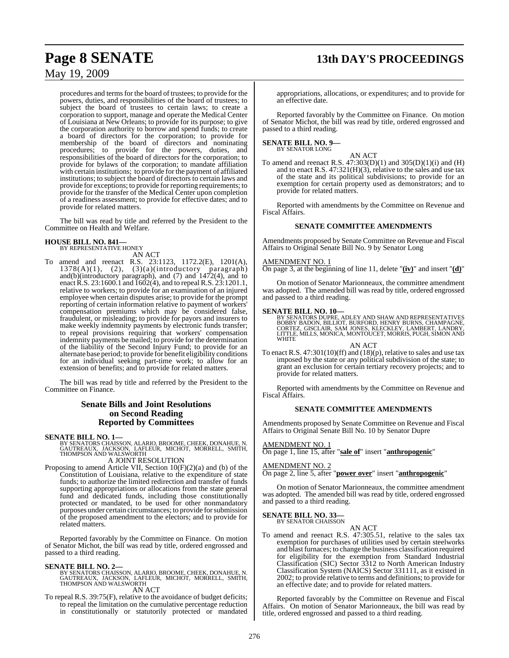# **Page 8 SENATE 13th DAY'S PROCEEDINGS**

## May 19, 2009

procedures and terms for the board of trustees; to provide for the powers, duties, and responsibilities of the board of trustees; to subject the board of trustees to certain laws; to create a corporation to support, manage and operate the Medical Center of Louisiana at New Orleans; to provide for its purpose; to give the corporation authority to borrow and spend funds; to create a board of directors for the corporation; to provide for membership of the board of directors and nominating procedures; to provide for the powers, duties, and responsibilities of the board of directors for the corporation; to provide for bylaws of the corporation; to mandate affiliation with certain institutions; to provide for the payment of affiliated institutions; to subject the board of directors to certain laws and provide for exceptions; to provide for reporting requirements; to provide for the transfer of the Medical Center upon completion of a readiness assessment; to provide for effective dates; and to provide for related matters.

The bill was read by title and referred by the President to the Committee on Health and Welfare.

#### **HOUSE BILL NO. 841—**

BY REPRESENTATIVE HONEY AN ACT

To amend and reenact R.S. 23:1123, 1172.2(E), 1201(A),  $1378(A)(1)$ ,  $(2)$ ,  $(3)(a)(introducing paragraph)$ and(b)(introductory paragraph), and (7) and 1472(4), and to enact R.S. 23:1600.1 and  $\overline{1602(4)}$ , and to repeal R.S. 23:1201.1, relative to workers; to provide for an examination of an injured employee when certain disputes arise; to provide for the prompt reporting of certain information relative to payment of workers' compensation premiums which may be considered false, fraudulent, or misleading; to provide for payors and insurers to make weekly indemnity payments by electronic funds transfer; to repeal provisions requiring that workers' compensation indemnity payments be mailed; to provide for the determination of the liability of the Second Injury Fund; to provide for an alternate base period; to provide for benefit eligibility conditions for an individual seeking part-time work; to allow for an extension of benefits; and to provide for related matters.

The bill was read by title and referred by the President to the Committee on Finance.

### **Senate Bills and Joint Resolutions on Second Reading Reported by Committees**

#### **SENATE BILL NO. 1—**

BY SENATORS CHAISSON, ALARIO, BROOME, CHEEK, DONAHUE, N.<br>GAUTREAUX, JACKSON, 'LAFLEUR, MICHOT, MORRELL, SMITH,<br>THOMPSON AND WALSWORTH A JOINT RESOLUTION

Proposing to amend Article VII, Section 10(F)(2)(a) and (b) of the Constitution of Louisiana, relative to the expenditure of state funds; to authorize the limited redirection and transfer of funds supporting appropriations or allocations from the state general fund and dedicated funds, including those constitutionally protected or mandated, to be used for other nonmandatory purposes under certain circumstances; to provide for submission of the proposed amendment to the electors; and to provide for related matters.

Reported favorably by the Committee on Finance. On motion of Senator Michot, the bill was read by title, ordered engrossed and passed to a third reading.

**SENATE BILL NO. 2—**<br>BY SENATORS CHAISSON, ALARIO, BROOME, CHEEK, DONAHUE, N.<br>GAUTREAUX, JACKSON, LAFLEUR, MICHOT, MORRELL, SMITH,<br>THOMPSON AND WALSWORTH

## AN ACT

To repeal R.S. 39:75(F), relative to the avoidance of budget deficits; to repeal the limitation on the cumulative percentage reduction in constitutionally or statutorily protected or mandated

appropriations, allocations, or expenditures; and to provide for an effective date.

Reported favorably by the Committee on Finance. On motion of Senator Michot, the bill was read by title, ordered engrossed and passed to a third reading.

#### **SENATE BILL NO. 9—** BY SENATOR LONG

AN ACT

To amend and reenact R.S. 47:303(D)(1) and 305(D)(1)(i) and (H) and to enact R.S. 47:321(H)(3), relative to the sales and use tax of the state and its political subdivisions; to provide for an exemption for certain property used as demonstrators; and to provide for related matters.

Reported with amendments by the Committee on Revenue and Fiscal Affairs.

#### **SENATE COMMITTEE AMENDMENTS**

Amendments proposed by Senate Committee on Revenue and Fiscal Affairs to Original Senate Bill No. 9 by Senator Long

#### MENDMENT NO. 1

On page 3, at the beginning of line 11, delete "**(iv)**" and insert "**(d)**"

On motion of Senator Marionneaux, the committee amendment was adopted. The amended bill was read by title, ordered engrossed and passed to a third reading.

**SENATE BILL NO. 10—**<br>BY SENATORS DUPRE, ADLEY AND SHAW AND REPRESENTATIVES<br>BOBBY BADON, BILLIOT, BURFORD, HENRY BURNS, CHAMPAGNE,<br>CORTEZ, GISCLAIR, SAM JONES, KLECKLEY, LAMBERT, LANDRY,<br>LITTLE, MILLS, MONICA, MONTOUCET, M **WHITE** 

AN ACT

To enact R.S. 47:301(10)(ff) and (18)(p), relative to sales and use tax imposed by the state or any political subdivision of the state; to grant an exclusion for certain tertiary recovery projects; and to provide for related matters.

Reported with amendments by the Committee on Revenue and Fiscal Affairs.

#### **SENATE COMMITTEE AMENDMENTS**

Amendments proposed by Senate Committee on Revenue and Fiscal Affairs to Original Senate Bill No. 10 by Senator Dupre

#### AMENDMENT NO. 1

On page 1, line 15, after "**sale of**" insert "**anthropogenic**"

#### AMENDMENT NO. 2

On page 2, line 5, after "**power over**" insert "**anthropogenic**"

On motion of Senator Marionneaux, the committee amendment was adopted. The amended bill was read by title, ordered engrossed and passed to a third reading.

#### **SENATE BILL NO. 33—** BY SENATOR CHAISSON

AN ACT

To amend and reenact R.S. 47:305.51, relative to the sales tax exemption for purchases of utilities used by certain steelworks and blast furnaces; to change the business classification required for eligibility for the exemption from Standard Industrial Classification (SIC) Sector 3312 to North American Industry Classification System (NAICS) Sector 331111, as it existed in 2002; to provide relative to terms and definitions; to provide for an effective date; and to provide for related matters.

Reported favorably by the Committee on Revenue and Fiscal Affairs. On motion of Senator Marionneaux, the bill was read by title, ordered engrossed and passed to a third reading.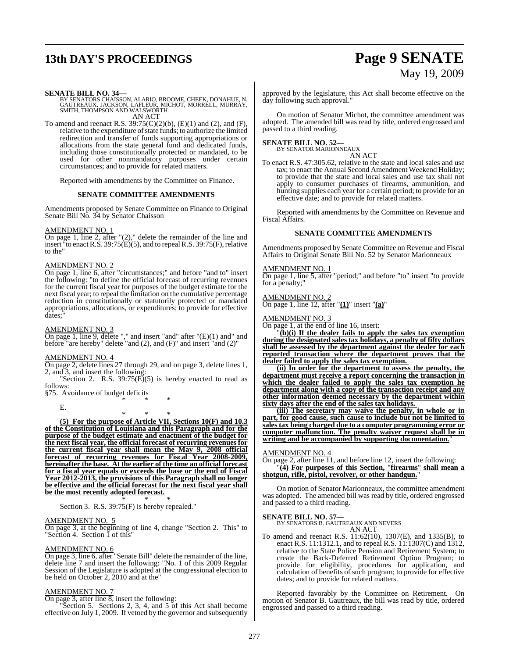# **13th DAY'S PROCEEDINGS Page 9 SENATE**

# May 19, 2009

**SENATE BILL NO. 34—**<br>BY SENATORS CHAISSON, ALARIO, BROOME, CHEEK, DONAHUE, N.<br>GAUTREAUX, JACKSON, LAFLEUR, MICHOT, MORRELL, MURRAY,<br>SMITH, THOMPSON AND WALSWORTH AN ACT

To amend and reenact R.S. 39:75(C)(2)(b), (E)(1) and (2), and (F), relative to the expenditure of state funds; to authorize the limited redirection and transfer of funds supporting appropriations or allocations from the state general fund and dedicated funds, including those constitutionally protected or mandated, to be used for other nonmandatory purposes under certain circumstances; and to provide for related matters.

Reported with amendments by the Committee on Finance.

#### **SENATE COMMITTEE AMENDMENTS**

Amendments proposed by Senate Committee on Finance to Original Senate Bill No. 34 by Senator Chaisson

#### AMENDMENT NO. 1

On page 1, line 2, after "(2)," delete the remainder of the line and insert "to enact R.S. 39:75(E)(5), and to repeal R.S. 39:75(F), relative to the"

#### AMENDMENT NO. 2

On page 1, line 6, after "circumstances;" and before "and to" insert the following: "to define the official forecast of recurring revenues for the current fiscal year for purposes of the budget estimate for the next fiscal year; to repeal the limitation on the cumulative percentage reduction in constitutionally or statutorily protected or mandated appropriations, allocations, or expenditures; to provide for effective dates;

#### AMENDMENT NO. 3

On page 1, line 9, delete "," and insert "and" after "(E)(1) and" and before "are hereby" delete "and  $(2)$ , and  $(F)$ " and insert "and  $(2)$ "

#### AMENDMENT NO. 4

On page 2, delete lines 27 through 29, and on page 3, delete lines 1, 2, and 3, and insert the following:

"Section 2. R.S.  $39:75(E)(5)$  is hereby enacted to read as follows:

§75. Avoidance of budget deficits \* \* \*

E.

\* \* \*

**(5) For the purpose of Article VII, Sections 10(F) and 10.3 of the Constitution of Louisiana and this Paragraph and for the purpose of the budget estimate and enactment of the budget for the next fiscal year, the official forecast of recurring revenues for the current fiscal year shall mean the May 9, 2008 official forecast of recurring revenues for Fiscal Year 2008-2009, hereinafter the base. At the earlier of the time an official forecast for a fiscal year equals or exceeds the base or the end of Fiscal Year 2012-2013, the provisions of this Paragraph shall no longer be effective and the official forecast for the next fiscal year shall be the most recently adopted forecast.**

\* \* \* Section 3. R.S. 39:75(F) is hereby repealed."

#### AMENDMENT NO. 5

On page 3, at the beginning of line 4, change "Section 2. This" to "Section 4. Section 1 of this

#### AMENDMENT NO. 6

On page 3, line 6, after "Senate Bill" delete the remainder of the line, delete line 7 and insert the following: "No. 1 of this 2009 Regular Session of the Legislature is adopted at the congressional election to be held on October 2, 2010 and at the"

#### AMENDMENT NO. 7

On page 3, after line 8, insert the following:

"Section 5. Sections 2, 3, 4, and 5 of this Act shall become effective on July 1, 2009. If vetoed by the governor and subsequently approved by the legislature, this Act shall become effective on the day following such approval."

On motion of Senator Michot, the committee amendment was adopted. The amended bill was read by title, ordered engrossed and passed to a third reading.

#### **SENATE BILL NO. 52—** BY SENATOR MARIONNEAUX

AN ACT

To enact R.S. 47:305.62, relative to the state and local sales and use tax; to enact the Annual Second Amendment Weekend Holiday; to provide that the state and local sales and use tax shall not apply to consumer purchases of firearms, ammunition, and hunting supplies each year for a certain period; to provide for an effective date; and to provide for related matters.

Reported with amendments by the Committee on Revenue and Fiscal Affairs.

#### **SENATE COMMITTEE AMENDMENTS**

Amendments proposed by Senate Committee on Revenue and Fiscal Affairs to Original Senate Bill No. 52 by Senator Marionneaux

#### AMENDMENT NO. 1

On page 1, line 5, after "period;" and before "to" insert "to provide for a penalty;"

#### AMENDMENT NO. 2

On page 1, line 12, after "**(1)**" insert "**(a)**"

#### AMENDMENT NO. 3

On page 1, at the end of line 16, insert:

"**(b)(i) If the dealer fails to apply the sales tax exemption during the designated sales tax holidays, a penalty of fifty dollars shall be assessed by the department against the dealer for each reported transaction where the department proves that the dealer failed to apply the sales tax exemption.** 

**(ii) In order for the department to assess the penalty, the department must receive a report concerning the transaction in which the dealer failed to apply the sales tax exemption he department along with a copy of the transaction receipt and any other information deemed necessary by the department within sixty days after the end of the sales tax holidays.** 

**(iii) The secretary may waive the penalty, in whole or in part, for good cause, such cause to include but not be limited to sales tax being charged due to a computer programming error or computer malfunction. The penalty waiver request shall be in writing and be accompanied by supporting documentation.**"

#### AMENDMENT NO. 4

On page 2, after line 11, and before line 12, insert the following: "**(4) For purposes of this Section,** "**firearms**" **shall mean a shotgun, rifle, pistol, revolver, or other handgun.**"

On motion of Senator Marionneaux, the committee amendment was adopted. The amended bill was read by title, ordered engrossed and passed to a third reading.

# **SENATE BILL NO. 57—** BY SENATORS B. GAUTREAUX AND NEVERS

AN ACT

To amend and reenact R.S. 11:62(10), 1307(E), and 1335(B), to enact R.S. 11:1312.1, and to repeal R.S. 11:1307(C) and 1312, relative to the State Police Pension and Retirement System; to create the Back-Deferred Retirement Option Program; to provide for eligibility, procedures for application, and calculation of benefits of such program; to provide for effective dates; and to provide for related matters.

Reported favorably by the Committee on Retirement. On motion of Senator B. Gautreaux, the bill was read by title, ordered engrossed and passed to a third reading.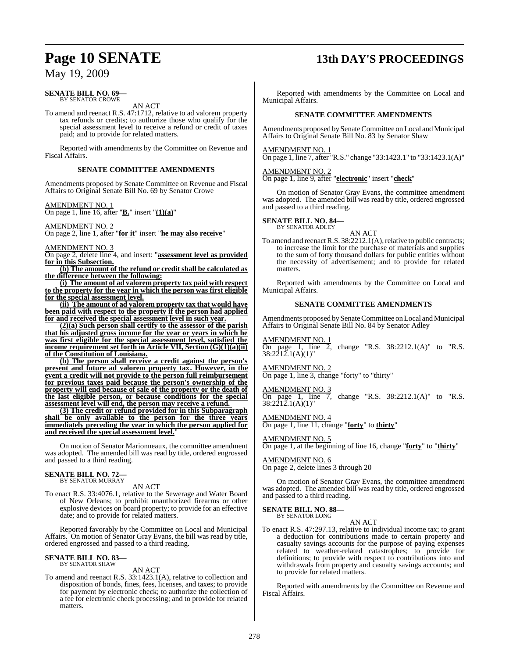#### **SENATE BILL NO. 69—** BY SENATOR CROWE

AN ACT

To amend and reenact R.S. 47:1712, relative to ad valorem property tax refunds or credits; to authorize those who qualify for the special assessment level to receive a refund or credit of taxes paid; and to provide for related matters.

Reported with amendments by the Committee on Revenue and Fiscal Affairs.

#### **SENATE COMMITTEE AMENDMENTS**

Amendments proposed by Senate Committee on Revenue and Fiscal Affairs to Original Senate Bill No. 69 by Senator Crowe

AMENDMENT NO. 1 On page 1, line 16, after "**B.**" insert "**(1)(a)**"

AMENDMENT NO. 2

On page 2, line 1, after "**for it**" insert "**he may also receive**"

AMENDMENT NO. 3

On page 2, delete line 4, and insert: "**assessment level as provided for in this Subsection.**

**(b) The amount of the refund or credit shall be calculated as the difference between the following:**

**(i) The amount of ad valorem property tax paid with respect to the property for the year in which the person was first eligible for the special assessment level.**

**(ii) The amount of ad valorem property tax that would have been paid with respect to the property if the person had applied for and received the special assessment level in such year.**

**(2)(a) Such person shall certify to the assessor of the parish that his adjusted gross income for the year or years in which he was first eligible for the special assessment level, satisfied the income requirement set forth in Article VII, Section (G)(1)(a)(ii) of the Constitution of Louisiana.**

**(b) The person shall receive a credit against the person's present and future ad valorem property tax. However, in the event a credit will not provide to the person full reimbursement for previous taxes paid because the person's ownership of the property will end because of sale of the property or the death of the last eligible person, or because conditions for the special assessment level will end, the person may receive a refund.** 

**(3) The credit or refund provided for in this Subparagraph shall be only available to the person for the three years immediately preceding the year in which the person applied for and received the special assessment level.**"

On motion of Senator Marionneaux, the committee amendment was adopted. The amended bill was read by title, ordered engrossed and passed to a third reading.

# **SENATE BILL NO. 72—** BY SENATOR MURRAY

AN ACT

To enact R.S. 33:4076.1, relative to the Sewerage and Water Board of New Orleans; to prohibit unauthorized firearms or other explosive devices on board property; to provide for an effective date; and to provide for related matters.

Reported favorably by the Committee on Local and Municipal Affairs. On motion of Senator Gray Evans, the bill was read by title, ordered engrossed and passed to a third reading.

# **SENATE BILL NO. 83—** BY SENATOR SHAW

AN ACT

To amend and reenact R.S. 33:1423.1(A), relative to collection and disposition of bonds, fines, fees, licenses, and taxes; to provide for payment by electronic check; to authorize the collection of a fee for electronic check processing; and to provide for related matters.

# **Page 10 SENATE 13th DAY'S PROCEEDINGS**

Reported with amendments by the Committee on Local and Municipal Affairs.

#### **SENATE COMMITTEE AMENDMENTS**

Amendments proposed by Senate Committee on Local and Municipal Affairs to Original Senate Bill No. 83 by Senator Shaw

AMENDMENT NO. 1

On page 1, line 7, after "R.S." change "33:1423.1" to "33:1423.1(A)"

AMENDMENT NO. 2

On page 1, line 9, after "**electronic**" insert "**check**"

On motion of Senator Gray Evans, the committee amendment was adopted. The amended bill was read by title, ordered engrossed and passed to a third reading.

#### **SENATE BILL NO. 84—** BY SENATOR ADLEY

AN ACT

To amend and reenact R.S. 38:2212.1(A), relative to public contracts; to increase the limit for the purchase of materials and supplies to the sum of forty thousand dollars for public entities without the necessity of advertisement; and to provide for related matters.

Reported with amendments by the Committee on Local and Municipal Affairs.

#### **SENATE COMMITTEE AMENDMENTS**

Amendments proposed by Senate Committee on Local and Municipal Affairs to Original Senate Bill No. 84 by Senator Adley

AMENDMENT NO. 1 On page 1, line 2, change "R.S. 38:2212.1(A)" to "R.S. 38:2212.1(A)(1)"

AMENDMENT NO. 2

On page 1, line 3, change "forty" to "thirty"

#### AMENDMENT NO. 3

On page 1, line 7, change "R.S.  $38:2212.1(A)$ " to "R.S. 38:2212.1(A)(1)"

AMENDMENT NO. 4

On page 1, line 11, change "**forty**" to **thirty**"

## AMENDMENT NO. 5

On page 1, at the beginning of line 16, change "**forty**" to "**thirty**"

AMENDMENT NO. 6 On page 2, delete lines 3 through 20

On motion of Senator Gray Evans, the committee amendment was adopted. The amended bill was read by title, ordered engrossed and passed to a third reading.

#### **SENATE BILL NO. 88—** BY SENATOR LONG

AN ACT

To enact R.S. 47:297.13, relative to individual income tax; to grant a deduction for contributions made to certain property and casualty savings accounts for the purpose of paying expenses related to weather-related catastrophes; to provide for definitions; to provide with respect to contributions into and withdrawals from property and casualty savings accounts; and to provide for related matters.

Reported with amendments by the Committee on Revenue and Fiscal Affairs.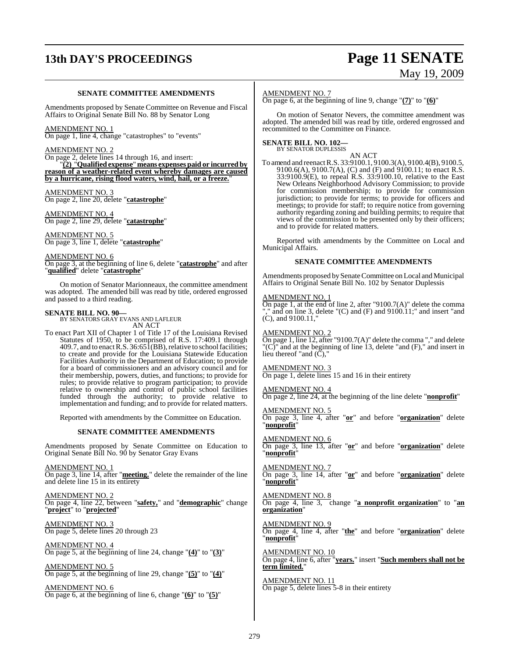# **13th DAY'S PROCEEDINGS Page 11 SENATE**

# May 19, 2009

#### **SENATE COMMITTEE AMENDMENTS**

Amendments proposed by Senate Committee on Revenue and Fiscal Affairs to Original Senate Bill No. 88 by Senator Long

#### AMENDMENT NO. 1

On page 1, line 4, change "catastrophes" to "events"

#### AMENDMENT NO. 2

On page 2, delete lines 14 through 16, and insert:

"**(2)** "**Qualified expense**" **means expenses paid or incurred by reason of a weather-related event whereby damages are caused by a hurricane, rising flood waters, wind, hail, or a freeze.**"

AMENDMENT NO. 3 On page 2, line 20, delete "**catastrophe**"

AMENDMENT NO. 4 On page 2, line 29, delete "**catastrophe**"

AMENDMENT NO. 5 On page 3, line 1, delete "**catastrophe**"

#### AMENDMENT NO. 6

On page 3, at the beginning of line 6, delete "**catastrophe**" and after "**qualified**" delete "**catastrophe**"

On motion of Senator Marionneaux, the committee amendment was adopted. The amended bill was read by title, ordered engrossed and passed to a third reading.

**SENATE BILL NO. 90—** BY SENATORS GRAY EVANS AND LAFLEUR AN ACT

To enact Part XII of Chapter 1 of Title 17 of the Louisiana Revised Statutes of 1950, to be comprised of R.S. 17:409.1 through 409.7, and to enact R.S. 36:651(BB), relative to school facilities; to create and provide for the Louisiana Statewide Education Facilities Authority in the Department of Education; to provide for a board of commissioners and an advisory council and for their membership, powers, duties, and functions; to provide for rules; to provide relative to program participation; to provide relative to ownership and control of public school facilities funded through the authority; to provide relative to implementation and funding; and to provide for related matters.

Reported with amendments by the Committee on Education.

#### **SENATE COMMITTEE AMENDMENTS**

Amendments proposed by Senate Committee on Education to Original Senate Bill No. 90 by Senator Gray Evans

AMENDMENT NO. 1 On page 3, line 14, after "**meeting.**" delete the remainder of the line and delete line 15 in its entirety

AMENDMENT NO. 2 On page 4, line 22, between "**safety,**" and "**demographic**" change "**project**" to "**projected**"

AMENDMENT NO. 3 On page 5, delete lines 20 through 23

AMENDMENT NO. 4 On page 5, at the beginning of line 24, change "**(4)**" to "**(3)**"

AMENDMENT NO. 5 On page 5, at the beginning of line 29, change "**(5)**" to "**(4)**"

AMENDMENT NO. 6 On page 6, at the beginning of line 6, change "**(6)**" to "**(5)**"

#### AMENDMENT NO. 7

On page 6, at the beginning of line 9, change "**(7)**" to "**(6)**"

On motion of Senator Nevers, the committee amendment was adopted. The amended bill was read by title, ordered engrossed and recommitted to the Committee on Finance.

#### **SENATE BILL NO. 102—** BY SENATOR DUPLESSIS

AN ACT

To amend and reenact R.S. 33:9100.1, 9100.3(A), 9100.4(B), 9100.5, 9100.6(A), 9100.7(A), (C) and (F) and 9100.11; to enact R.S. 33:9100.9(E), to repeal R.S. 33:9100.10, relative to the East New Orleans Neighborhood Advisory Commission; to provide for commission membership; to provide for commission jurisdiction; to provide for terms; to provide for officers and meetings; to provide for staff; to require notice from governing authority regarding zoning and building permits; to require that views of the commission to be presented only by their officers; and to provide for related matters.

Reported with amendments by the Committee on Local and Municipal Affairs.

#### **SENATE COMMITTEE AMENDMENTS**

Amendments proposed by Senate Committee on Local and Municipal Affairs to Original Senate Bill No. 102 by Senator Duplessis

#### AMENDMENT NO. 1

On page 1, at the end of line 2, after "9100.7(A)" delete the comma and on line 3, delete  $(C)$  and  $(F)$  and  $9100.11$ ;" and insert "and (C), and 9100.11,"

#### AMENDMENT NO. 2

On page 1, line 12, after "9100.7(A)" delete the comma "," and delete "(C)" and at the beginning of line 13, delete "and (F)," and insert in lieu thereof "and  $(\tilde{C})$ ,"

#### AMENDMENT NO. 3

On page 1, delete lines 15 and 16 in their entirety

#### AMENDMENT NO. 4

On page 2, line 24, at the beginning of the line delete "**nonprofit**"

AMENDMENT NO. 5

On page 3, line 4, after "**or**" and before "**organization**" delete "**nonprofit**"

AMENDMENT NO. 6 On page 3, line 13, after "**or**" and before "**organization**" delete "**nonprofit**"

AMENDMENT NO. 7 On page 3, line 14, after "**or**" and before "**organization**" delete "**nonprofit**"

AMENDMENT NO. 8 On page 4, line 3, change "**a nonprofit organization**" to "**an organization**"

AMENDMENT NO. 9 On page 4, line 4, after "**the**" and before "**organization**" delete "**nonprofit**"

AMENDMENT NO. 10 On page 4, line 6, after "**years.**" insert "**Such members shall not be term limited.**"

AMENDMENT NO. 11 On page 5, delete lines 5-8 in their entirety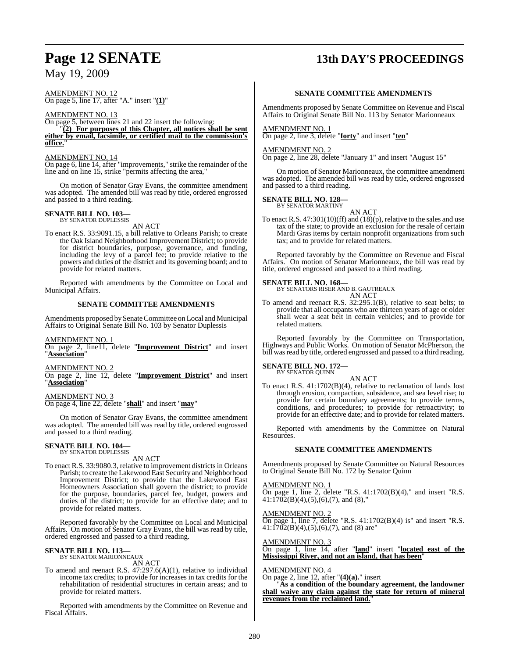# **Page 12 SENATE 13th DAY'S PROCEEDINGS**

## May 19, 2009

AMENDMENT NO. 12 On page 5, line 17, after "A." insert "**(1)**"

AMENDMENT NO. 13 On page 5, between lines 21 and 22 insert the following: "**(2) For purposes of this Chapter, all notices shall be sent either by email, facsimile, or certified mail to the commission's office.**"

AMENDMENT NO. 14 On page 6, line 14, after "improvements," strike the remainder of the line and on line 15, strike "permits affecting the area,"

On motion of Senator Gray Evans, the committee amendment was adopted. The amended bill was read by title, ordered engrossed and passed to a third reading.

# **SENATE BILL NO. 103—** BY SENATOR DUPLESSIS

AN ACT

To enact R.S. 33:9091.15, a bill relative to Orleans Parish; to create the Oak Island Neighborhood Improvement District; to provide for district boundaries, purpose, governance, and funding, including the levy of a parcel fee; to provide relative to the powers and duties of the district and its governing board; and to provide for related matters.

Reported with amendments by the Committee on Local and Municipal Affairs.

#### **SENATE COMMITTEE AMENDMENTS**

Amendments proposed by Senate Committee on Local and Municipal Affairs to Original Senate Bill No. 103 by Senator Duplessis

AMENDMENT NO. 1

On page 2, line11, delete "**Improvement District**" and insert "**Association**"

AMENDMENT NO. 2

On page 2, line 12, delete "**Improvement District**" and insert "**Association**"

### AMENDMENT NO. 3

On page 4, line 22, delete "**shall**" and insert "**may**"

On motion of Senator Gray Evans, the committee amendment was adopted. The amended bill was read by title, ordered engrossed and passed to a third reading.

# **SENATE BILL NO. 104—** BY SENATOR DUPLESSIS

AN ACT

To enact R.S. 33:9080.3, relative to improvement districts in Orleans Parish; to create the Lakewood East Security and Neighborhood Improvement District; to provide that the Lakewood East Homeowners Association shall govern the district; to provide for the purpose, boundaries, parcel fee, budget, powers and duties of the district; to provide for an effective date; and to provide for related matters.

Reported favorably by the Committee on Local and Municipal Affairs. On motion of Senator Gray Evans, the bill was read by title, ordered engrossed and passed to a third reading.

#### **SENATE BILL NO. 113—** BY SENATOR MARIONNEAUX

AN ACT

To amend and reenact R.S. 47:297.6(A)(1), relative to individual income tax credits; to provide for increases in tax credits for the rehabilitation of residential structures in certain areas; and to provide for related matters.

Reported with amendments by the Committee on Revenue and Fiscal Affairs.

#### **SENATE COMMITTEE AMENDMENTS**

Amendments proposed by Senate Committee on Revenue and Fiscal Affairs to Original Senate Bill No. 113 by Senator Marionneaux

#### AMENDMENT NO. 1

On page 2, line 3, delete "**forty**" and insert "**ten**"

#### AMENDMENT NO. 2

On page 2, line 28, delete "January 1" and insert "August 15"

On motion of Senator Marionneaux, the committee amendment was adopted. The amended bill was read by title, ordered engrossed and passed to a third reading.

#### **SENATE BILL NO. 128—** BY SENATOR MARTINY

AN ACT To enact R.S. 47:301(10)(ff) and (18)(p), relative to the sales and use tax of the state; to provide an exclusion for the resale of certain Mardi Gras items by certain nonprofit organizations from such tax; and to provide for related matters.

Reported favorably by the Committee on Revenue and Fiscal Affairs. On motion of Senator Marionneaux, the bill was read by title, ordered engrossed and passed to a third reading.

#### **SENATE BILL NO. 168—**

BY SENATORS RISER AND B. GAUTREAUX AN ACT

To amend and reenact R.S. 32:295.1(B), relative to seat belts; to provide that all occupants who are thirteen years of age or older shall wear a seat belt in certain vehicles; and to provide for related matters.

Reported favorably by the Committee on Transportation, Highways and Public Works. On motion of Senator McPherson, the bill was read by title, ordered engrossed and passed to a third reading.

#### **SENATE BILL NO. 172—** BY SENATOR QUINN

AN ACT To enact R.S. 41:1702(B)(4), relative to reclamation of lands lost through erosion, compaction, subsidence, and sea level rise; to provide for certain boundary agreements; to provide terms, conditions, and procedures; to provide for retroactivity; to provide for an effective date; and to provide for related matters.

Reported with amendments by the Committee on Natural Resources.

#### **SENATE COMMITTEE AMENDMENTS**

Amendments proposed by Senate Committee on Natural Resources to Original Senate Bill No. 172 by Senator Quinn

#### AMENDMENT NO. 1

On page 1, line 2, delete "R.S. 41:1702(B)(4)," and insert "R.S.  $41:1702(B)(4),(5),(6),(7)$ , and  $(8)$ ,"

#### AMENDMENT NO. 2

On page 1, line 7, delete "R.S. 41:1702(B)(4) is" and insert "R.S.  $41:1702(B)(4),(5),(6),(7)$ , and (8) are"

AMENDMENT NO. 3

On page 1, line 14, after "**land**" insert "**located east of the Mississippi River, and not an island, that has been**"

#### AMENDMENT NO. 4

On page 2, line 12, after "**(4)(a).**" insert

"**As a condition of the boundary agreement, the landowner shall waive any claim against the state for return of mineral revenues from the reclaimed land.**"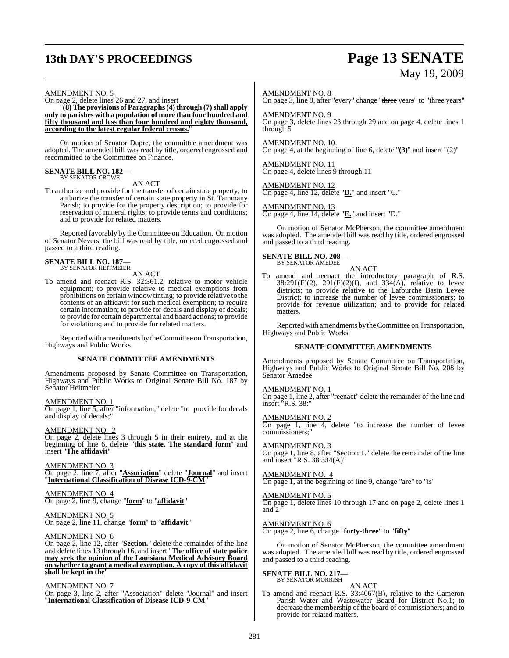# **13th DAY'S PROCEEDINGS Page 13 SENATE**

# May 19, 2009

#### AMENDMENT NO. 5

On page 2, delete lines 26 and 27, and insert

"**(8) The provisions of Paragraphs(4) through (7)shall apply only to parishes with a population of more than four hundred and fifty thousand and less than four hundred and eighty thousand, according to the latest regular federal census.**"

On motion of Senator Dupre, the committee amendment was adopted. The amended bill was read by title, ordered engrossed and recommitted to the Committee on Finance.

# **SENATE BILL NO. 182—** BY SENATOR CROWE

AN ACT

To authorize and provide for the transfer of certain state property; to authorize the transfer of certain state property in St. Tammany Parish; to provide for the property description; to provide for reservation of mineral rights; to provide terms and conditions; and to provide for related matters.

Reported favorably by the Committee on Education. On motion of Senator Nevers, the bill was read by title, ordered engrossed and passed to a third reading.

# **SENATE BILL NO. 187—** BY SENATOR HEITMEIER

AN ACT

To amend and reenact R.S. 32:361.2, relative to motor vehicle equipment; to provide relative to medical exemptions from prohibitions on certain window tinting; to provide relative to the contents of an affidavit for such medical exemption; to require certain information; to provide for decals and display of decals; to provide for certain departmental and board actions; to provide for violations; and to provide for related matters.

Reported with amendments by the Committee on Transportation, Highways and Public Works.

#### **SENATE COMMITTEE AMENDMENTS**

Amendments proposed by Senate Committee on Transportation, Highways and Public Works to Original Senate Bill No. 187 by Senator Heitmeier

#### AMENDMENT NO. 1

On page 1, line 5, after "information;" delete "to provide for decals and display of decals;"

#### AMENDMENT NO. 2

On page 2, delete lines 3 through 5 in their entirety, and at the beginning of line 6, delete "**this state. The standard form**" and insert "**The affidavit**"

AMENDMENT NO. 3

On page 2, line 7, after "**Association**" delete "**Journal**" and insert "**International Classification of Disease ICD-9-CM**"

AMENDMENT NO. 4 On page 2, line 9, change "**form**" to "**affidavit**"

#### AMENDMENT NO. 5

On page 2, line 11, change "**form**" to "**affidavit**"

#### AMENDMENT NO. 6

On page 2, line 12, after "**Section.**" delete the remainder of the line and delete lines 13 through 16, and insert "**The office of state police may seek the opinion of the Louisiana Medical Advisory Board on whether to grant a medical exemption. A copy of this affidavit shall be kept in the**"

#### AMENDMENT NO. 7

On page 3, line 2, after "Association" delete "Journal" and insert "**International Classification of Disease ICD-9-CM**"

#### AMENDMENT NO. 8

On page 3, line 8, after "every" change "three years" to "three years"

AMENDMENT NO. 9 On page 3, delete lines 23 through 29 and on page 4, delete lines 1 through 5

AMENDMENT NO. 10 On page 4, at the beginning of line 6, delete "**(3)**" and insert "(2)"

AMENDMENT NO. 11 On page 4, delete lines 9 through 11

AMENDMENT NO. 12 On page 4, line 12, delete "**D.**" and insert "C."

AMENDMENT NO. 13 On page 4, line 14, delete "**E.**" and insert "D."

On motion of Senator McPherson, the committee amendment was adopted. The amended bill was read by title, ordered engrossed and passed to a third reading.

#### **SENATE BILL NO. 208** BY SENATOR AMEDEE

AN ACT

To amend and reenact the introductory paragraph of R.S.  $38:291(F)(2)$ ,  $291(F)(2)(f)$ , and  $334(A)$ , relative to levee districts; to provide relative to the Lafourche Basin Levee District; to increase the number of levee commissioners; to provide for revenue utilization; and to provide for related matters.

Reported with amendments by theCommittee on Transportation, Highways and Public Works.

#### **SENATE COMMITTEE AMENDMENTS**

Amendments proposed by Senate Committee on Transportation, Highways and Public Works to Original Senate Bill No. 208 by Senator Amedee

#### AMENDMENT NO. 1

On page 1, line 2, after "reenact" delete the remainder of the line and insert "R.S. 38:"

AMENDMENT NO. 2

On page 1, line 4, delete "to increase the number of levee commissioners;"

AMENDMENT NO. 3 On page 1, line 8, after "Section 1." delete the remainder of the line and insert "R.S. 38:334(A)"

AMENDMENT NO. 4 On page 1, at the beginning of line 9, change "are" to "is"

AMENDMENT NO. 5

On page 1, delete lines 10 through 17 and on page 2, delete lines 1 and 2

AMENDMENT NO. 6

On page 2, line 6, change "**forty-three**" to "**fifty**"

On motion of Senator McPherson, the committee amendment was adopted. The amended bill was read by title, ordered engrossed and passed to a third reading.

# **SENATE BILL NO. 217—** BY SENATOR MORRISH

AN ACT To amend and reenact R.S. 33:4067(B), relative to the Cameron Parish Water and Wastewater Board for District No.1; to decrease the membership of the board of commissioners; and to provide for related matters.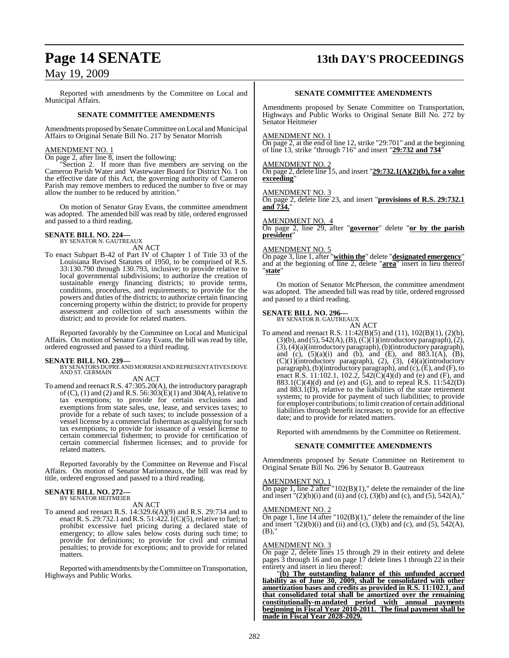# **Page 14 SENATE 13th DAY'S PROCEEDINGS**

## May 19, 2009

Reported with amendments by the Committee on Local and Municipal Affairs.

#### **SENATE COMMITTEE AMENDMENTS**

Amendments proposed by Senate Committee on Local and Municipal Affairs to Original Senate Bill No. 217 by Senator Morrish

#### AMENDMENT NO. 1

On page 2, after line 8, insert the following:

"Section 2. If more than five members are serving on the Cameron Parish Water and Wastewater Board for District No. 1 on the effective date of this Act, the governing authority of Cameron Parish may remove members to reduced the number to five or may allow the number to be reduced by attrition."

On motion of Senator Gray Evans, the committee amendment was adopted. The amended bill was read by title, ordered engrossed and passed to a third reading.

# **SENATE BILL NO. 224—** BY SENATOR N. GAUTREAUX

AN ACT

To enact Subpart B-42 of Part IV of Chapter 1 of Title 33 of the Louisiana Revised Statutes of 1950, to be comprised of R.S. 33:130.790 through 130.793, inclusive; to provide relative to local governmental subdivisions; to authorize the creation of sustainable energy financing districts; to provide terms, conditions, procedures, and requirements; to provide for the powers and duties of the districts; to authorize certain financing concerning property within the district; to provide for property assessment and collection of such assessments within the district; and to provide for related matters.

Reported favorably by the Committee on Local and Municipal Affairs. On motion of Senator Gray Evans, the bill was read by title, ordered engrossed and passed to a third reading.

**SENATE BILL NO. 239—** BY SENATORS DUPRE AND MORRISH AND REPRESENTATIVES DOVE AND ST. GERMAIN

AN ACT

To amend and reenactR.S. 47:305.20(A), the introductory paragraph of (C), (1) and (2) and R.S. 56:303(E)(1) and 304(A), relative to tax exemptions; to provide for certain exclusions and exemptions from state sales, use, lease, and services taxes; to provide for a rebate of such taxes; to include possession of a vessel license by a commercial fisherman as qualifying for such tax exemptions; to provide for issuance of a vessel license to certain commercial fishermen; to provide for certification of certain commercial fishermen licenses; and to provide for related matters.

Reported favorably by the Committee on Revenue and Fiscal Affairs. On motion of Senator Marionneaux, the bill was read by title, ordered engrossed and passed to a third reading.

# **SENATE BILL NO. 272—** BY SENATOR HEITMEIER

AN ACT

To amend and reenact R.S. 14:329.6(A)(9) and R.S. 29:734 and to enact R. S. 29:732.1 and R.S. 51:422.1(C)(5), relative to fuel; to prohibit excessive fuel pricing during a declared state of emergency; to allow sales below costs during such time; to provide for definitions; to provide for civil and criminal penalties; to provide for exceptions; and to provide for related matters.

Reported with amendments by the Committee on Transportation, Highways and Public Works.

#### **SENATE COMMITTEE AMENDMENTS**

Amendments proposed by Senate Committee on Transportation, Highways and Public Works to Original Senate Bill No. 272 by Senator Heitmeier

#### AMENDMENT NO.

On page 2, at the end of line 12, strike "29:701" and at the beginning of line 13, strike "through 716" and insert "**29:732 and 734**"

#### AMENDMENT NO. 2

On page 2, delete line 15, and insert "**29:732.1(A)(2)(b), for a value exceeding**"

#### AMENDMENT NO. 3

On page 2, delete line 23, and insert "**provisions of R.S. 29:732.1 and 734.**"

#### AMENDMENT NO. 4

On page 2, line 29, after "**governor**" delete "**or by the parish president**"

#### AMENDMENT NO. 5

On page 3, line 1, after "**within the**" delete "**designated emergency**" and at the beginning of line 2, delete "**area**" insert in lieu thereof "**state**"

On motion of Senator McPherson, the committee amendment was adopted. The amended bill was read by title, ordered engrossed and passed to a third reading.

#### **SENATE BILL NO. 296—**

BY SENATOR B. GAUTREAUX

AN ACT To amend and reenact R.S. 11:42(B)(5) and (11), 102(B)(1), (2)(b),  $(3)(b)$ , and  $(5)$ ,  $542(A)$ ,  $(B)$ ,  $(C)(1)(introducing paragraph)$ ,  $(2)$ , (3),(4)(a)(introductory paragraph),(b)(introductory paragraph), and (c),  $(5)(a)(i)$  and  $(b)$ , and  $(E)$ , and  $883.1(A)$ ,  $(B)$ ,  $(C)(1)$ (introductory paragraph),  $(2)$ ,  $(3)$ ,  $(4)(a)$ (introductory paragraph), (b)(introductory paragraph), and (c),(E), and (F), to enact R.S. 11:102.1, 102.2,  $\frac{5}{42}$ (C)( $\frac{4}{d}$ ) and (e) and (F), and 883.1(C)(4)(d) and (e) and (G), and to repeal R.S. 11:542(D) and  $883.1(D)$ , relative to the liabilities of the state retirement systems; to provide for payment of such liabilities; to provide for employer contributions; to limit creation of certain additional liabilities through benefit increases; to provide for an effective date; and to provide for related matters.

Reported with amendments by the Committee on Retirement.

#### **SENATE COMMITTEE AMENDMENTS**

Amendments proposed by Senate Committee on Retirement to Original Senate Bill No. 296 by Senator B. Gautreaux

#### AMENDMENT NO. 1

On page 1, line 2 after  $102(B)(1)$ ," delete the remainder of the line and insert  $(2)(b)(i)$  and (ii) and (c), (3)(b) and (c), and (5), 542(A),"

## AMENDMENT NO. 2

 $\frac{\overline{R}_{11}}{\overline{R}_{12}}$  (on page 1, line 14 after "102(B)(1)," delete the remainder of the line and insert  $"(2)(b)(i)$  and (ii) and (c), (3)(b) and (c), and (5), 542(A), (B),"

#### AMENDMENT NO. 3

On page 2, delete lines 15 through 29 in their entirety and delete pages 3 through 16 and on page 17 delete lines 1 through 22 in their entirety and insert in lieu thereof:

"**(b) The outstanding balance of this unfunded accrued liability as of June 30, 2009, shall be consolidated with other amortization bases and credits as provided in R.S. 11:102.1, and that consolidated total shall be amortized over the remaining constitutionally-m andated period with annual payments beginning in Fiscal Year 2010-2011. The final payment shall be made in Fiscal Year 2028-2029.**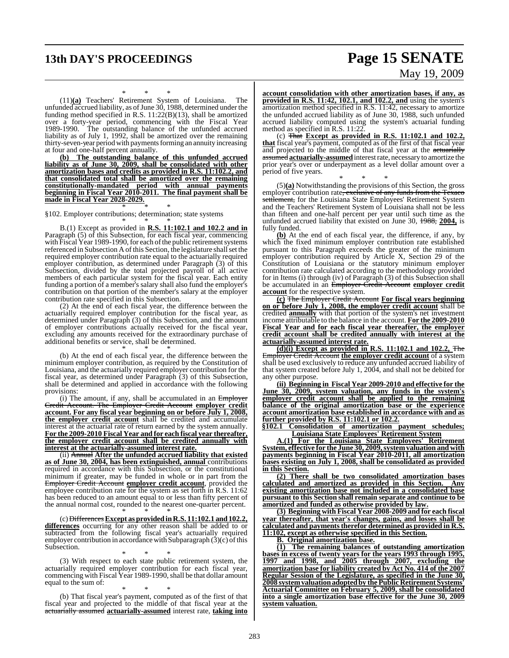# **13th DAY'S PROCEEDINGS Page 15 SENATE**

# May 19, 2009

\* \* \* (11)**(a)** Teachers' Retirement System of Louisiana. The unfunded accrued liability, as of June  $30$ , 1988, determined under the funding method specified in R.S. 11:22(B)(13), shall be amortized over a forty-year period, commencing with the Fiscal Year 1989-1990. The outstanding balance of the unfunded accrued liability as of July 1, 1992, shall be amortized over the remaining thirty-seven-year period with payments forming an annuity increasing at four and one-half percent annually.

**(b) The outstanding balance of this unfunded accrued liability as of June 30, 2009, shall be consolidated with other amortization bases and credits as provided in R.S. 11:102.2, and that consolidated total shall be amortized over the remaining constitutionally-mandated period with annual payments beginning in Fiscal Year 2010-2011. The final payment shall be made in Fiscal Year 2028-2029.**

\* \* \*

#### §102. Employer contributions; determination; state systems

\* \* \* B.(1) Except as provided in **R.S. 11:102.1 and 102.2 and in** Paragraph (5) of this Subsection, for each fiscal year, commencing with Fiscal Year 1989-1990, for each of the public retirement systems referenced in Subsection A of this Section, the legislature shall set the required employer contribution rate equal to the actuarially required employer contribution, as determined under Paragraph (3) of this Subsection, divided by the total projected payroll of all active members of each particular system for the fiscal year. Each entity funding a portion of a member's salary shall also fund the employer's contribution on that portion of the member's salary at the employer contribution rate specified in this Subsection.

(2) At the end of each fiscal year, the difference between the actuarially required employer contribution for the fiscal year, as determined under Paragraph (3) of this Subsection, and the amount of employer contributions actually received for the fiscal year, excluding any amounts received for the extraordinary purchase of additional benefits or service, shall be determined.

\* \* \* (b) At the end of each fiscal year, the difference between the minimum employer contribution, as required by the Constitution of Louisiana, and the actuarially required employer contribution for the fiscal year, as determined under Paragraph (3) of this Subsection, shall be determined and applied in accordance with the following provisions:

(i) The amount, if any, shall be accumulated in an Employer Credit Account. The Employer Credit Account **employer credit account. For any fiscal year beginning on or before July 1, 2008, the employer credit account** shall be credited and accumulate interest at the actuarial rate of return earned by the system annually. **For the 2009-2010 Fiscal Year and for each fiscal year thereafter, the employer credit account shall be credited annually with interest at the actuarially-assumed interest rate.**

(ii) Annual **After the unfunded accrued liability that existed as of June 30, 2004, has been extinguished, annual** contributions required in accordance with this Subsection, or the constitutional minimum if greater, may be funded in whole or in part from the Employer Credit Account **employer credit account**, provided the employee contribution rate for the system as set forth in R.S. 11:62 has been reduced to an amount equal to or less than fifty percent of the annual normal cost, rounded to the nearest one-quarter percent.

\* \* \* (c) Differences**Except as provided inR.S. 11:102.1 and102.2, differences** occurring for any other reason shall be added to or subtracted from the following fiscal year's actuarially required employer contribution in accordance with Subparagraph  $(3)(c)$  of this Subsection.

\* \* \* (3) With respect to each state public retirement system, the actuarially required employer contribution for each fiscal year, commencing with Fiscal Year 1989-1990, shall be that dollar amount equal to the sum of:

\* \* \* (b) That fiscal year's payment, computed as of the first of that fiscal year and projected to the middle of that fiscal year at the actuarially assumed **actuarially-assumed** interest rate, **taking into**

**account consolidation with other amortization bases, if any, as provided in R.S. 11:42, 102.1, and 102.2, and** using the system's amortization method specified in R.S. 11:42, necessary to amortize the unfunded accrued liability as of June 30, 1988, such unfunded accrued liability computed using the system's actuarial funding method as specified in R.S. 11:22.

(c) That **Except as provided in R.S. 11:102.1 and 102.2, that** fiscal year's payment, computed as of the first of that fiscal year and projected to the middle of that fiscal year at the actuarially assumed **actuarially-assumed**interestrate, necessary to amortize the prior year's over or underpayment as a level dollar amount over a period of five years.

\* \* \* (5)**(a)** Notwithstanding the provisions of this Section, the gross employer contribution rate, exclusive of any funds from the Texaco settlement, for the Louisiana State Employees' Retirement System and the Teachers' Retirement System of Louisiana shall not be less than fifteen and one-half percent per year until such time as the unfunded accrued liability that existed on June 30, 1988, **2004,** is fully funded.

**(b)** At the end of each fiscal year, the difference, if any, by which the fixed minimum employer contribution rate established pursuant to this Paragraph exceeds the greater of the minimum employer contribution required by Article X, Section 29 of the Constitution of Louisiana or the statutory minimum employer contribution rate calculated according to the methodology provided for in Items (i) through (iv) of Paragraph (3) of this Subsection shall be accumulated in an Employer Credit Account **employer credit account** for the respective system.

**(c)** The Employer Credit Account **For fiscal years beginning on or before July 1, 2008, the employer credit account** shall be credited **annually** with that portion of the system's net investment income attributable to the balance in the account. **For the 2009-2010 Fiscal Year and for each fiscal year thereafter, the employer credit account shall be credited annually with interest at the actuarially-assumed interest rate.**

**(d)(i) Except as provided in R.S. 11:102.1 and 102.2,** The Employer Credit Account **the employer credit account** of a system shall be used exclusively to reduce any unfunded accrued liability of that system created before July 1, 2004, and shall not be debited for any other purpose.

**(ii) Beginning in Fiscal Year 2009-2010 and effective for the June 30, 2009, system valuation, any funds in the system's employer credit account shall be applied to the remaining balance of the original amortization base or the experience account amortization base established in accordance with and as further provided by R.S. 11:102.1 or 102.2.**

**§102.1 Consolidation of amortization payment schedules; Louisiana State Employees' Retirement System**

**A.(1) For the Louisiana State Employees' Retirement System, effective for the June 30, 2009,systemvaluation and with payments beginning in Fiscal Year 2010-2011, all amortization bases existing on July 1, 2008, shall be consolidated as provided in this Section.**

**(2) There shall be two consolidated amortization bases calculated and amortized as provided in this Section. Any existing amortization base not included in a consolidated base pursuant to this Section shall remain separate and continue to be amortized and funded as otherwise provided by law.**

**(3) Beginning with Fiscal Year 2008-2009 and for each fiscal year thereafter, that year's changes, gains, and losses shall be calculated** and payments therefor determined as provided in R.S. **11:102, except as otherwise specified in this Section.**

**B. Original amortization base.**

**(1) The remaining balances of outstanding amortization bases in excess of twenty years for the years 1993 through 1995, 1997 and 1998, and 2005 through 2007, excluding the amortization base for liability created by Act No. 414 of the 2007 Regular Session of the Legislature, as specified in the June 30, 2008 systemvaluationadoptedby the Public Retirement Systems' Actuarial Committee on February 5, 2009, shall be consolidated into a single amortization base effective for the June 30, 2009 system valuation.**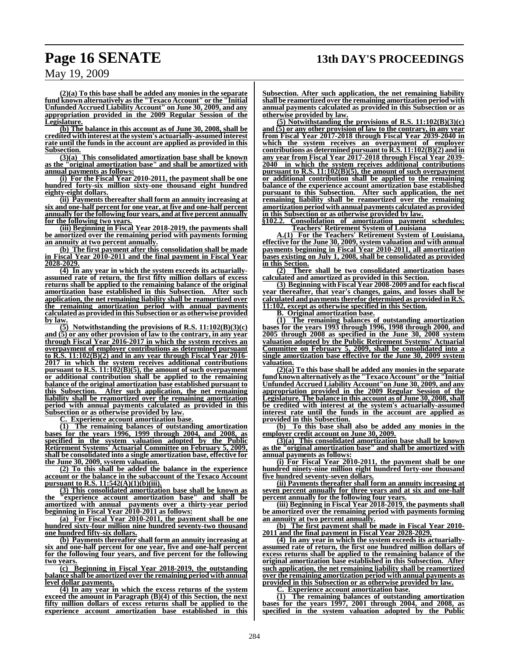**(2)(a) To this base shall be added any monies in the separate fund known alternatively asthe "Texaco Account" or the "Initial Unfunded Accrued Liability Account" on June 30, 2009, and any appropriation provided in the 2009 Regular Session of the Legislature.**

**(b) The balance in this account as of June 30, 2008, shall be credited with interest atthe system's actuarially-assumed interest rate until the funds in the account are applied as provided in this Subsection.**

**(3)(a) This consolidated amortization base shall be known as the "original amortization base" and shall be amortized with annual payments as follows:**

**(i) For the Fiscal Year 2010-2011, the payment shall be one hundred forty-six million sixty-one thousand eight hundred eighty-eight dollars.**

**(ii) Payments thereafter shall form an annuity increasing at six and one-half percent for one year, at five and one-half percent annually for the following four years, and at five percent annually for the following two years.**

**(iii) Beginning in Fiscal Year 2018-2019, the payments shall be amortized over the remaining period with payments forming an annuity at two percent annually.**

**(b) The first payment after this consolidation shall be made in Fiscal Year 2010-2011 and the final payment in Fiscal Year 2028-2029.**

**(4) In any year in which the system exceeds its actuariallyassumed rate of return, the first fifty million dollars of excess returns shall be applied to the remaining balance of the original amortization base established in this Subsection. After such application, the net remaining liability shall be reamortized over the remaining amortization period with annual payments calculated as provided in this Subsection or as otherwise provided by law.**

**(5) Notwithstanding the provisions of R.S. 11:102(B)(3)(c) and (5) or any other provision of law to the contrary, in any year through Fiscal Year 2016-2017 in which the system receives an overpayment of employer contributions as determined pursuant to R.S. 11:102(B)(2) and in any year through Fiscal Year 2016- 2017 in which the system receives additional contributions pursuant to R.S. 11:102(B)(5), the amount of such overpayment or additional contribution shall be applied to the remaining balance of the original amortization base established pursuant to this Subsection. After such application, the net remaining liability shall be reamortized over the remaining amortization period with annual payments calculated as provided in this Subsection or as otherwise provided by law.**

**C. Experience account amortization base.**

**(1) The remaining balances of outstanding amortization bases for the years 1996, 1999 through 2004, and 2008, as specified in the system valuation adopted by the Public Retirement Systems' Actuarial Committee on February 5, 2009, shall be consolidated into a single amortization base, effective for the June 30, 2009, system valuation.**

**(2) To this shall be added the balance in the experience account or the balance in the subaccount of the Texaco Account pursuant to R.S. 11:542(A)(1)(b)(iii).**

**(3) This consolidated amortization base shall be known as the "experience account amortization base" and shall be amortized with annual payments over a thirty-year period beginning in Fiscal Year 2010-2011 as follows:**

**(a) For Fiscal Year 2010-2011, the payment shall be one hundred sixty-four million nine hundred seventy-two thousand one hundred fifty-six dollars.**

**(b) Payments thereafter shall form an annuity increasing at six and one-half percent for one year, five and one-half percent for the following four years, and five percent for the following two years.**

**(c) Beginning in Fiscal Year 2018-2019, the outstanding balance shall be amortized over the remaining period with annual level dollar payments.**

**(4) In any year in which the excess returns of the system exceed the amount in Paragraph (B)(4) of this Section, the next fifty million dollars of excess returns shall be applied to the experience account amortization base established in this**

**Subsection. After such application, the net remaining liability shall be reamortized over the remaining amortization period with annual payments calculated as provided in this Subsection or as otherwise provided by law.**

**(5) Notwithstanding the provisions of R.S. 11:102(B)(3)(c) and (5) or any other provision of law to the contrary, in any year from Fiscal Year 2017-2018 through Fiscal Year 2039-2040 in which the system receives an overpayment of employer contributions as determined pursuant to R.S. 11:102(B)(2) and in any year from Fiscal Year 2017-2018 through Fiscal Year 2039- 2040 in which the system receives additional contributions pursuant to R.S. 11:102(B)(5), the amount of such overpayment or additional contribution shall be applied to the remaining balance of the experience account amortization base established pursuant to this Subsection. After such application, the net remaining liability shall be reamortized over the remaining amortization period with annual payments calculated as provided in this Subsection or as otherwise provided by law.**

**§102.2. Consolidation of amortization payment schedules; Teachers' Retirement System of Louisiana**

**A.(1) For the Teachers' Retirement System of Louisiana, effective for the June 30, 2009, system valuation and with annual payments beginning in Fiscal Year 2010-2011, all amortization bases existing on July 1, 2008, shall be consolidated as provided in this Section.**

**(2) There shall be two consolidated amortization bases calculated and amortized as provided in this Section.**

**(3) Beginning withFiscal Year 2008-2009 and for each fiscal year thereafter, that year's changes, gains, and losses shall be calculated and paymentstherefor determined as provided in R.S. 11:102, except as otherwise specified in this Section.**

**B. Original amortization base.**

**(1) The remaining balances of outstanding amortization bases for the years 1993 through 1996, 1998 through 2000, and 2005 through 2008 as specified in the June 30, 2008 system valuation adopted by the Public Retirement Systems' Actuarial Committee on February 5, 2009, shall be consolidated into a single amortization base effective for the June 30, 2009 system valuation.**

**(2)(a) To this base shall be added any monies in the separate fund known alternatively asthe "Texaco Account" or the "Initial Unfunded Accrued Liability Account"on June 30, 2009, and any appropriation provided in the 2009 Regular Session of the Legislature. The balance in this account as of June 30, 2008,shall be credited with interest at the system's actuarially-assumed interest rate until the funds in the account are applied as provided in this Subsection.**

**(b) To this base shall also be added any monies in the employer credit account on June 30, 2009.**

**(3)(a) This consolidated amortization base shall be known as the "original amortization base" and shall be amortized with annual payments as follows:**

**(i) For Fiscal Year 2010-2011, the payment shall be one hundred ninety-nine million eight hundred forty-one thousand five hundred seventy-seven dollars.**

**(ii) Payments thereafter shall form an annuity increasing at seven percent annually for three years and at six and one-half percent annually for the following four years.**

**(iii) Beginning in Fiscal Year 2018-2019, the payments shall be amortized over the remaining period with payments forming an annuity at two percent annually.**

**(b) The first payment shall be made in Fiscal Year 2010- 2011 and the final payment in Fiscal Year 2028-2029.**

**(4) In any year in which the system exceeds its actuariallyassumed rate of return, the first one hundred million dollars of excess returns shall be applied to the remaining balance of the original amortization base established in this Subsection. After such application, the net remaining liability shall be reamortized over the remaining amortization period with annual payments as provided in this Subsection or as otherwise provided by law.**

**C. Experience account amortization base.**

**(1) The remaining balances of outstanding amortization bases for the years 1997, 2001 through 2004, and 2008, as specified in the system valuation adopted by the Public**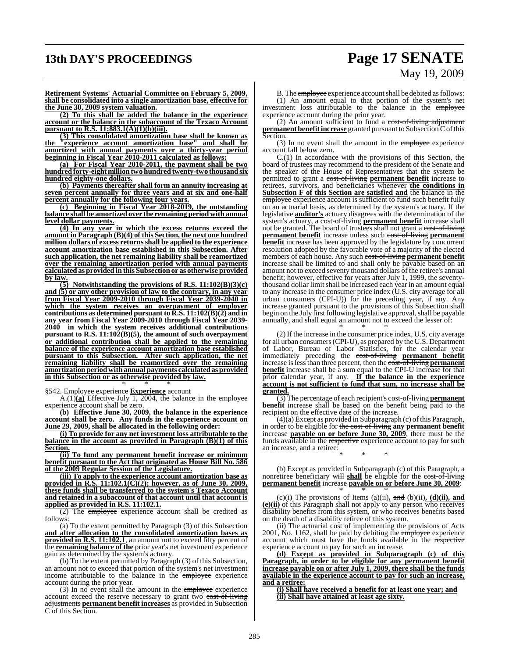# **13th DAY'S PROCEEDINGS Page 17 SENATE**

# May 19, 2009

**Retirement Systems' Actuarial Committee on February 5, 2009, shall be consolidated into a single amortization base, effective for the June 30, 2009 system valuation.**

**(2) To this shall be added the balance in the experience account or the balance in the subaccount of the Texaco Account pursuant to R.S. 11:883.1(A)(1)(b)(iii).**

**(3) This consolidated amortization base shall be known as the "experience account amortization base" and shall be amortized with annual payments over a thirty-year period beginning in Fiscal Year 2010-2011 calculated as follows:**

**(a) For Fiscal Year 2010-2011, the payment shall be two hundred forty-eight million two hundred twenty-two thousand six hundred eighty-one dollars.**

**(b) Payments thereafter shall form an annuity increasing at seven percent annually for three years and at six and one-half percent annually for the following four years.**

**(c) Beginning in Fiscal Year 2018-2019, the outstanding balance shall be amortized over the remaining period with annual level dollar payments.**

**(4) In any year in which the excess returns exceed the amount in Paragraph (B)(4) of this Section, the next one hundred million dollars of excess returnsshall be applied to the experience account amortization base established in this Subsection. After such application, the net remaining liability shall be reamortized over the remaining amortization period with annual payments calculated as provided in this Subsection or as otherwise provided by law.**

**(5) Notwithstanding the provisions of R.S. 11:102(B)(3)(c) and (5) or any other provision of law to the contrary, in any year from Fiscal Year 2009-2010 through Fiscal Year 2039-2040 in which the system receives an overpayment of employer contributions as determined pursuant to R.S. 11:102(B)(2) and in any year from Fiscal Year 2009-2010 through Fiscal Year 2039- 2040 in which the system receives additional contributions pursuant to R.S. 11:102(B)(5), the amount of such overpayment or additional contribution shall be applied to the remaining balance of the experience account amortization base established pursuant to this Subsection. After such application, the net remaining liability shall be reamortized over the remaining amortization period with annual payments calculatedas provided in this Subsection or as otherwise provided by law.**

\* \* \* §542. Employee experience **Experience** account

A.(1) $(a)$  Effective July 1, 2004, the balance in the employee experience account shall be zero.

**(b) Effective June 30, 2009, the balance in the experience account shall be zero. Any funds in the experience account on June 29, 2009, shall be allocated in the following order:**

**(i) To provide for any net investment loss attributable to the balance in the account as provided in Paragraph (B)(1) of this Section.**

**(ii) To fund any permanent benefit increase or minimum benefit pursuant to the Act that originated as House Bill No. 586 of the 2009 Regular Session of the Legislature.**

**(iii) To apply to the experience account amortization base as provided in R.S. 11:102.1(C)(2); however, as of June 30, 2009, these funds shall be transferred to the system's Texaco Account and retained in a subaccount of that account until that account is applied as provided in R.S. 11:102.1.**

(2) The employee experience account shall be credited as follows:

(a) To the extent permitted by Paragraph (3) of this Subsection **and after allocation to the consolidated amortization bases as provided in R.S. 11:102.1**, an amount not to exceed fifty percent of the **remaining balance of the** prior year's net investment experience gain as determined by the system's actuary.

(b) To the extent permitted by Paragraph (3) of this Subsection, an amount not to exceed that portion of the system's net investment income attributable to the balance in the employee experience account during the prior year.

(3) In no event shall the amount in the employee experience account exceed the reserve necessary to grant two cost-of-living adjustments **permanent benefit increases** as provided in Subsection C of this Section.

B. The **employee** experience account shall be debited as follows: (1) An amount equal to that portion of the system's net investment loss attributable to the balance in the employee experience account during the prior year.

(2) An amount sufficient to fund a  $\overline{\text{cost-of-living}}$  adjustment **permanent benefit increase** granted pursuant to Subsection C of this Section.

(3) In no event shall the amount in the employee experience account fall below zero.

C.(1) In accordance with the provisions of this Section, the board of trustees may recommend to the president of the Senate and the speaker of the House of Representatives that the system be permitted to grant a cost-of-living **permanent benefit** increase to retirees, survivors, and beneficiaries whenever **the conditions in Subsection F of this Section are satisfied and** the balance in the employee experience account is sufficient to fund such benefit fully on an actuarial basis, as determined by the system's actuary. If the legislative **auditor's** actuary disagrees with the determination of the system's actuary, a cost-of-living **permanent** benefit increase shall not be granted. The board of trustees shall not grant a cost-of-living **permanent benefit** increase unless such cost-of-living **permanent benefit** increase has been approved by the legislature by concurrent resolution adopted by the favorable vote of a majority of the elected members of each house. Any such cost-of-living **permanent benefit** increase shall be limited to and shall only be payable based on an amount not to exceed seventy thousand dollars of the retiree's annual benefit; however, effective for years after July 1, 1999, the seventythousand dollar limit shall be increased each year in an amount equal to any increase in the consumer price index (U.S. city average for all urban consumers (CPI-U)) for the preceding year, if any. Any increase granted pursuant to the provisions of this Subsection shall begin on the July first following legislative approval, shall be payable annually, and shall equal an amount not to exceed the lesser of:

\* \* \* (2) If the increase in the consumer price index, U.S. city average for all urban consumers(CPI-U), as prepared by the U.S. Department of Labor, Bureau of Labor Statistics, for the calendar year immediately preceding the cost-of-living **permanent benefit** increase islessthan three percent, then the cost-of-living **permanent benefit** increase shall be a sum equal to the CPI-U increase for that prior calendar year, if any. **If the balance in the experience account is not sufficient to fund that sum, no increase shall be granted.**

(3) The percentage of each recipient's cost-of-living **permanent benefit** increase shall be based on the benefit being paid to the recipient on the effective date of the increase.

 $(4)(a)$  Except as provided in Subparagraph  $(c)$  of this Paragraph, in order to be eligible for the cost-of-living **any permanent benefit** increase **payable on or before June 30, 2009**, there must be the funds available in the respective experience account to pay for such an increase, and a retiree:

\* \* \*

(b) Except as provided in Subparagraph (c) of this Paragraph, a nonretiree beneficiary will **shall** be eligible for the cost-of-living **permanent benefit** increase **payable on or before June 30, 2009**:

\* \* \* (c)(i) The provisions of Items (a)(ii)**,** and (b)(ii)**, (d)(ii), and (e)(ii)** of this Paragraph shall not apply to any person who receives disability benefits from this system, or who receives benefits based on the death of a disability retiree of this system.

(ii) The actuarial cost of implementing the provisions of Acts 2001, No. 1162, shall be paid by debiting the employee experience account which must have the funds available in the respective experience account to pay for such an increase.

**(d) Except as provided in Subparagraph (c) of this Paragraph, in order to be eligible for any permanent benefit increase payable on or after July 1, 2009, there shall be the funds available in the experience account to pay for such an increase, and a retiree:**

**(i) Shall have received a benefit for at least one year; and (ii) Shall have attained at least age sixty.**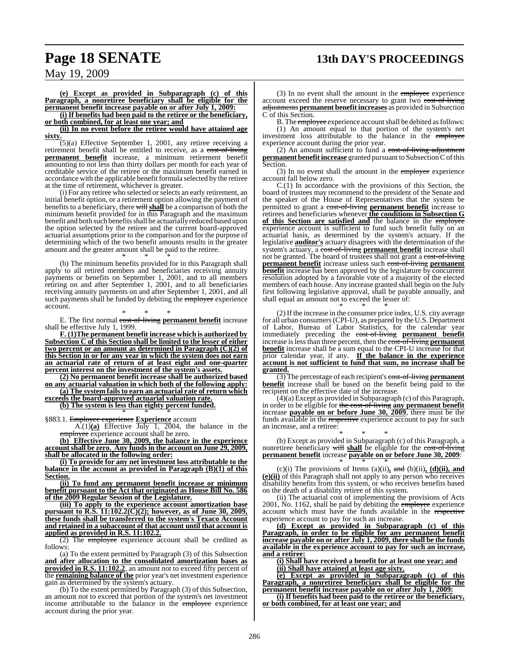# **Page 18 SENATE 13th DAY'S PROCEEDINGS**

**(e) Except as provided in Subparagraph (c) of this Paragraph, a nonretiree beneficiary shall be eligible for the permanent benefit increase payable on or after July 1, 2009:**

**(i) If benefits had been paid to the retiree or the beneficiary, or both combined, for at least one year; and**

**(ii) In no event before the retiree would have attained age sixty.**

 $(5)(a)$  Effective September 1, 2001, any retiree receiving a retirement benefit shall be entitled to receive, as a cost-of-living **permanent benefit** increase, a minimum retirement benefit amounting to not less than thirty dollars per month for each year of creditable service of the retiree or the maximum benefit earned in accordance with the applicable benefit formula selected by the retiree at the time of retirement, whichever is greater.

(i) For any retiree who selected or selects an early retirement, an initial benefit option, or a retirement option allowing the payment of benefits to a beneficiary, there will **shall** be a comparison of both the minimum benefit provided for in this Paragraph and the maximum benefit and both such benefitsshall be actuarially reduced based upon the option selected by the retiree and the current board-approved actuarial assumptions prior to the comparison and for the purpose of determining which of the two benefit amounts results in the greater amount and the greater amount shall be paid to the retiree.

\* \* \* (b) The minimum benefits provided for in this Paragraph shall apply to all retired members and beneficiaries receiving annuity payments or benefits on September 1, 2001, and to all members retiring on and after September 1, 2001, and to all beneficiaries receiving annuity payments on and after September 1, 2001, and all such payments shall be funded by debiting the employee experience account.

\* \* \* E. The first normal cost-of-living **permanent benefit** increase shall be effective July 1, 1999.

**F. (1)The permanent benefit increase which is authorized by Subsection C of this Section shall be limited to the lesser of either two percent or an amount as determined in Paragraph (C)(2) of this Section in or for any year in which the system does not earn an actuarial rate of return of at least eight and one-quarter percent interest on the investment of the system's assets.**

**(2) No permanent benefit increase shall be authorized based on any actuarial valuation in which both of the following apply:**

**(a) The system fails to earn an actuarial rate of return which exceeds the board-approved actuarial valuation rate.**

**(b) The system is less than eighty percent funded.**

\* \* \* §883.1. Employee experience **Experience** account

A.(1)**(a)** Effective July 1, 2004, the balance in the employee experience account shall be zero.

**(b) Effective June 30, 2009, the balance in the experience accountshall be zero. Any funds in the account on June 29, 2009, shall be allocated in the following order:**

**(i) To provide for any net investment loss attributable to the balance in the account as provided in Paragraph (B)(1) of this Section.**

**(ii) To fund any permanent benefit increase or minimum benefit pursuant to the Act that originated as House Bill No. 586 of the 2009 Regular Session of the Legislature.**

**(iii) To apply to the experience account amortization base pursuant to R.S. 11:102.2(C)(2); however, as of June 30, 2009, these funds shall be transferred to the system's Texaco Account and retained in a subaccount of that account until that account is applied as provided in R.S. 11:102.2.**

(2) The employee experience account shall be credited as follows:

(a) To the extent permitted by Paragraph (3) of this Subsection **and after allocation to the consolidated amortization bases as provided in R.S. 11:102.2**, an amount not to exceed fifty percent of the **remaining balance of the** prior year's net investment experience gain as determined by the system's actuary.

(b) To the extent permitted by Paragraph (3) of this Subsection, an amount not to exceed that portion of the system's net investment income attributable to the balance in the employee experience account during the prior year.

(3) In no event shall the amount in the employee experience account exceed the reserve necessary to grant two cost-of-living adjustments **permanent benefit increases** as provided in Subsection C of this Section.

B. The *employee* experience account shall be debited as follows: (1) An amount equal to that portion of the system's net investment loss attributable to the balance in the employee experience account during the prior year.

(2) An amount sufficient to fund a  $\overline{\text{cost-of-living}}$  adjustment **permanent benefit increase** granted pursuant to Subsection C of this Section.

(3) In no event shall the amount in the employee experience account fall below zero.

C.(1) In accordance with the provisions of this Section, the board of trustees may recommend to the president of the Senate and the speaker of the House of Representatives that the system be permitted to grant a cost-of-living **permanent benefit** increase to retirees and beneficiaries whenever **the conditions in Subsection G of this Section are satisfied and** the balance in the employee experience account is sufficient to fund such benefit fully on an actuarial basis, as determined by the system's actuary. If the legislative **auditor's** actuary disagrees with the determination of the system's actuary, a cost-of-living **permanent benefit** increase shall not be granted. The board of trustees shall not grant a cost-of-living **permanent benefit** increase unless such cost-of-living **permanent benefit** increase has been approved by the legislature by concurrent resolution adopted by a favorable vote of a majority of the elected members of each house. Any increase granted shall begin on the July first following legislative approval, shall be payable annually, and shall equal an amount not to exceed the lesser of:

\* \* \* (2) If the increase in the consumer price index, U.S. city average for all urban consumers(CPI-U), as prepared by the U.S. Department of Labor, Bureau of Labor Statistics, for the calendar year immediately preceding the **cost-of-living permanent benefit** increase is less than three percent, then the **cost-of-living permanent** increase is less than three percent, then the cost**benefit** increase shall be a sum equal to the CPI-U increase for that prior calendar year, if any. **If the balance in the experience account is not sufficient to fund that sum, no increase shall be granted.**

(3) The percentage of each recipient's cost-of-living **permanent benefit** increase shall be based on the benefit being paid to the recipient on the effective date of the increase.

 $(4)(a)$  Except as provided in Subparagraph  $(c)$  of this Paragraph, in order to be eligible for the cost-of-living **any permanent benefit** increase **payable on or before June 30, 2009**, there must be the funds available in the respective experience account to pay for such an increase, and a retiree:

\* \* \* (b) Except as provided in Subparagraph (c) of this Paragraph, a nonretiree beneficiary will **shall** be eligible for the cost-of-living **permanent benefit** increase **payable on or before June 30, 2009**: \* \* \*

(c)(i) The provisions of Items (a)(ii)**,** and (b)(ii)**, (d)(ii), and (e)(ii)** of this Paragraph shall not apply to any person who receives disability benefits from this system, or who receives benefits based on the death of a disability retiree of this system.

(ii) The actuarial cost of implementing the provisions of Acts 2001, No. 1162, shall be paid by debiting the employee experience account which must have the funds available in the respective experience account to pay for such an increase.

**(d) Except as provided in Subparagraph (c) of this Paragraph, in order to be eligible for any permanent benefit increase payable on or after July 1, 2009, there shall be the funds available in the experience account to pay for such an increase, and a retiree:**

**(i) Shall have received a benefit for at least one year; and (ii) Shall have attained at least age sixty.**

**(e) Except as provided in Subparagraph (c) of this Paragraph, a nonretiree beneficiary shall be eligible for the permanent benefit increase payable on or after July 1, 2009:**

**(i) If benefits had been paid to the retiree or the beneficiary, or both combined, for at least one year; and**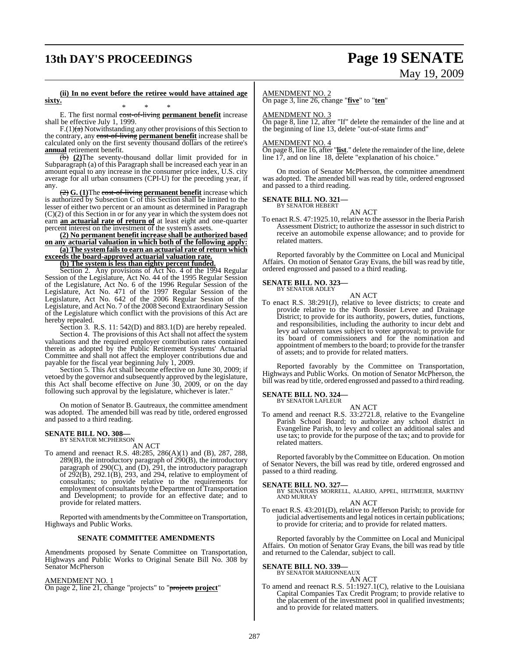# **13th DAY'S PROCEEDINGS Page 19 SENATE**

# May 19, 2009

**(ii) In no event before the retiree would have attained age sixty.**

\* \* \* E. The first normal cost-of-living **permanent benefit** increase shall be effective July 1, 1999.

 $F(1)(a)$  Notwithstanding any other provisions of this Section to the contrary, any cost-of-living **permanent benefit** increase shall be calculated only on the first seventy thousand dollars of the retiree's **annual** retirement benefit.

(b) **(2)**The seventy-thousand dollar limit provided for in Subparagraph (a) of this Paragraph shall be increased each year in an amount equal to any increase in the consumer price index, U.S. city average for all urban consumers (CPI-U) for the preceding year, if any.

(2) **G. (1)**The cost-of-living **permanent benefit** increase which is authorized by Subsection C of this Section shall be limited to the lesser of either two percent or an amount as determined in Paragraph (C)(2) of this Section in or for any year in which the system does not earn **an actuarial rate of return of** at least eight and one-quarter percent interest on the investment of the system's assets.

**(2) No permanent benefit increase shall be authorized based on any actuarial valuation in which both of the following apply:**

**(a) The system fails to earn an actuarial rate of return which exceeds the board-approved actuarial valuation rate.**

**(b) The system is less than eighty percent funded.**

Section 2. Any provisions of Act No. 4 of the 1994 Regular Session of the Legislature, Act No. 44 of the 1995 Regular Session of the Legislature, Act No. 6 of the 1996 Regular Session of the Legislature, Act No. 471 of the 1997 Regular Session of the Legislature, Act No. 642 of the 2006 Regular Session of the Legislature, and Act No. 7 of the 2008 Second Extraordinary Session of the Legislature which conflict with the provisions of this Act are hereby repealed.

Section 3. R.S. 11: 542(D) and 883.1(D) are hereby repealed.

Section 4. The provisions of this Act shall not affect the system valuations and the required employer contribution rates contained therein as adopted by the Public Retirement Systems' Actuarial Committee and shall not affect the employer contributions due and payable for the fiscal year beginning July 1, 2009.

Section 5. This Act shall become effective on June 30, 2009; if vetoed by the governor and subsequently approved by the legislature, this Act shall become effective on June 30, 2009, or on the day following such approval by the legislature, whichever is later."

On motion of Senator B. Gautreaux, the committee amendment was adopted. The amended bill was read by title, ordered engrossed and passed to a third reading.

# **SENATE BILL NO. 308—** BY SENATOR MCPHERSON

AN ACT

To amend and reenact R.S. 48:285, 286(A)(1) and (B), 287, 288, 289(B), the introductory paragraph of 290(B), the introductory paragraph of 290(C), and (D), 291, the introductory paragraph of  $2\overline{9}2(B)$ ,  $292.1(B)$ ,  $293$ , and  $294$ , relative to employment of consultants; to provide relative to the requirements for employment of consultants by the Department of Transportation and Development; to provide for an effective date; and to provide for related matters.

Reported with amendments by the Committee on Transportation, Highways and Public Works.

#### **SENATE COMMITTEE AMENDMENTS**

Amendments proposed by Senate Committee on Transportation, Highways and Public Works to Original Senate Bill No. 308 by Senator McPherson

#### AMENDMENT NO. 1

On page 2, line 21, change "projects" to "projects **project**"

#### AMENDMENT NO. 2

On page 3, line 26, change "**five**" to "**ten**"

#### AMENDMENT NO. 3

On page 8, line 12, after "If" delete the remainder of the line and at the beginning of line 13, delete "out-of-state firms and"

#### AMENDMENT NO. 4

On page 8, line 16, after "**list**." delete the remainder of the line, delete line 17, and on line 18, delete "explanation of his choice."

On motion of Senator McPherson, the committee amendment was adopted. The amended bill was read by title, ordered engrossed and passed to a third reading.

#### **SENATE BILL NO. 321—** BY SENATOR HEBERT

AN ACT To enact R.S. 47:1925.10, relative to the assessor in the Iberia Parish Assessment District; to authorize the assessor in such district to receive an automobile expense allowance; and to provide for related matters.

Reported favorably by the Committee on Local and Municipal Affairs. On motion of Senator Gray Evans, the bill was read by title, ordered engrossed and passed to a third reading.

#### **SENATE BILL NO. 323—** BY SENATOR ADLEY

AN ACT To enact R.S. 38:291(J), relative to levee districts; to create and provide relative to the North Bossier Levee and Drainage District; to provide for its authority, powers, duties, functions, and responsibilities, including the authority to incur debt and levy ad valorem taxes subject to voter approval; to provide for its board of commissioners and for the nomination and appointment of members to the board; to provide for the transfer of assets; and to provide for related matters.

Reported favorably by the Committee on Transportation, Highways and Public Works. On motion of Senator McPherson, the bill was read by title, ordered engrossed and passed to a third reading.

#### **SENATE BILL NO. 324—** BY SENATOR LAFLEUR

AN ACT

To amend and reenact R.S. 33:2721.8, relative to the Evangeline Parish School Board; to authorize any school district in Evangeline Parish, to levy and collect an additional sales and use tax; to provide for the purpose of the tax; and to provide for related matters.

Reported favorably by the Committee on Education. On motion of Senator Nevers, the bill was read by title, ordered engrossed and passed to a third reading.

**SENATE BILL NO. 327—** BY SENATORS MORRELL, ALARIO, APPEL, HEITMEIER, MARTINY AND MURRAY

#### AN ACT

To enact R.S. 43:201(D), relative to Jefferson Parish; to provide for judicial advertisements and legal notices in certain publications; to provide for criteria; and to provide for related matters.

Reported favorably by the Committee on Local and Municipal Affairs. On motion of Senator Gray Evans, the bill was read by title and returned to the Calendar, subject to call.

# **SENATE BILL NO. 339—** BY SENATOR MARIONNEAUX

AN ACT To amend and reenact R.S. 51:1927.1(C), relative to the Louisiana Capital Companies Tax Credit Program; to provide relative to the placement of the investment pool in qualified investments; and to provide for related matters.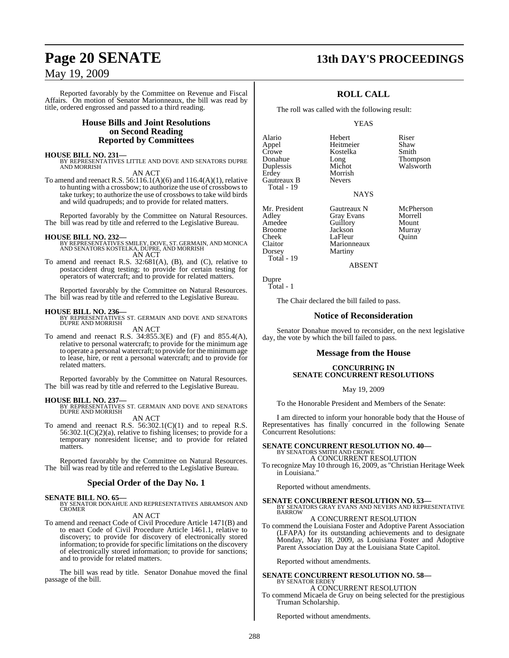Reported favorably by the Committee on Revenue and Fiscal Affairs. On motion of Senator Marionneaux, the bill was read by title, ordered engrossed and passed to a third reading.

## **House Bills and Joint Resolutions on Second Reading Reported by Committees**

#### **HOUSE BILL NO. 231—**

BY REPRESENTATIVES LITTLE AND DOVE AND SENATORS DUPRE **AND MORRISH** 

AN ACT To amend and reenact R.S. 56:116.1(A)(6) and 116.4(A)(1), relative

to hunting with a crossbow; to authorize the use of crossbowsto take turkey; to authorize the use of crossbows to take wild birds and wild quadrupeds; and to provide for related matters.

Reported favorably by the Committee on Natural Resources. The bill was read by title and referred to the Legislative Bureau.

#### **HOUSE BILL NO. 232—**

BY REPRESENTATIVES SMILEY, DOVE, ST. GERMAIN, AND MONICA AND SENATORS KOSTELKA, DUPRE, AND MORRISH AN ACT

To amend and reenact R.S. 32:681(A), (B), and (C), relative to postaccident drug testing; to provide for certain testing for operators of watercraft; and to provide for related matters.

Reported favorably by the Committee on Natural Resources. The bill was read by title and referred to the Legislative Bureau.

**HOUSE BILL NO. 236—** BY REPRESENTATIVES ST. GERMAIN AND DOVE AND SENATORS DUPRE AND MORRISH AN ACT

To amend and reenact R.S. 34:855.3(E) and (F) and 855.4(A), relative to personal watercraft; to provide for the minimum age to operate a personal watercraft; to provide for the minimumage to lease, hire, or rent a personal watercraft; and to provide for related matters.

Reported favorably by the Committee on Natural Resources. The bill was read by title and referred to the Legislative Bureau.

**HOUSE BILL NO. 237—** BY REPRESENTATIVES ST. GERMAIN AND DOVE AND SENATORS DUPRE AND MORRISH

AN ACT To amend and reenact R.S.  $56:302.1(C)(1)$  and to repeal R.S. 56:302.1(C)(2)(a), relative to fishing licenses; to provide for a temporary nonresident license; and to provide for related matters.

Reported favorably by the Committee on Natural Resources. The bill was read by title and referred to the Legislative Bureau.

#### **Special Order of the Day No. 1**

### **SENATE BILL NO. 65—**

BY SENATOR DONAHUE AND REPRESENTATIVES ABRAMSON AND CROMER AN ACT

To amend and reenact Code of Civil Procedure Article 1471(B) and to enact Code of Civil Procedure Article 1461.1, relative to discovery; to provide for discovery of electronically stored information; to provide for specific limitations on the discovery of electronically stored information; to provide for sanctions; and to provide for related matters.

The bill was read by title. Senator Donahue moved the final passage of the bill.

# **Page 20 SENATE 13th DAY'S PROCEEDINGS**

## **ROLL CALL**

The roll was called with the following result:

#### YEAS

Alario Hebert Riser Appel Heitmeier<br>Crowe Kostelka Crowe Kostelka Smith<br>
Donahue Long Thom Donahue Long Thompson Duplessis Michot Walsworth Gautreaux B Total - 19

Mr. President Gautreaux N McPherson<br>Adley Gray Evans Morrell Cheek LaFleur<br>Claitor Marionn

Adley Gray Evans Morrell Amedee Guillory Mount<br>Broome Jackson Murray Broome Jackson Murray<br>Cheek LaFleur Quinn Marionneaux Dorsey Martiny

Morrish<br>Nevers

ABSENT

NAYS

Dupre Total - 1

Total - 19

The Chair declared the bill failed to pass.

#### **Notice of Reconsideration**

Senator Donahue moved to reconsider, on the next legislative day, the vote by which the bill failed to pass.

#### **Message from the House**

#### **CONCURRING IN SENATE CONCURRENT RESOLUTIONS**

#### May 19, 2009

To the Honorable President and Members of the Senate:

I am directed to inform your honorable body that the House of Representatives has finally concurred in the following Senate Concurrent Resolutions:

# **SENATE CONCURRENT RESOLUTION NO. 40—** BY SENATORS SMITH AND CROWE

A CONCURRENT RESOLUTION

To recognize May 10 through 16, 2009, as "Christian Heritage Week in Louisiana."

Reported without amendments.

**SENATE CONCURRENT RESOLUTION NO. 53—** BY SENATORS GRAY EVANS AND NEVERS AND REPRESENTATIVE **BARROW** 

#### A CONCURRENT RESOLUTION

To commend the Louisiana Foster and Adoptive Parent Association (LFAPA) for its outstanding achievements and to designate Monday, May 18, 2009, as Louisiana Foster and Adoptive Parent Association Day at the Louisiana State Capitol.

Reported without amendments.

#### **SENATE CONCURRENT RESOLUTION NO. 58—** BY SENATOR ERDEY

A CONCURRENT RESOLUTION

To commend Micaela de Gruy on being selected for the prestigious Truman Scholarship.

Reported without amendments.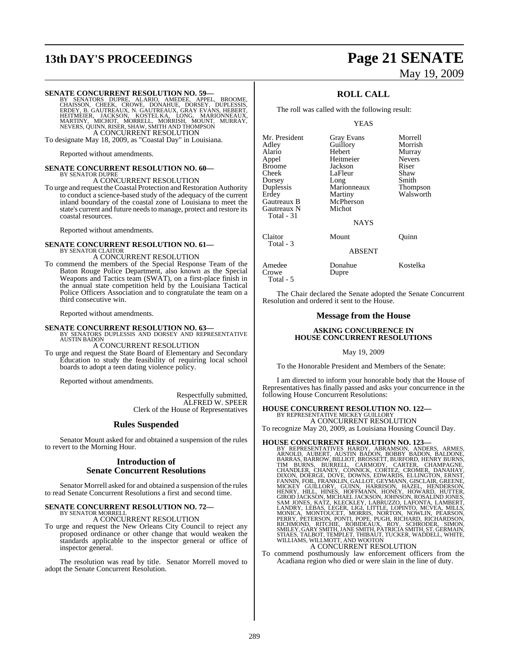# **13th DAY'S PROCEEDINGS Page 21 SENATE**

# May 19, 2009

SENATE CONCURRENT RESOLUTION NO. 59—<br>BY SENATORS DUPRE, ALARIO, AMEDEE, APPEL, BROOME, CHAISSON, CHEEK, CROWE, DONAHUE, DORSEY, DUPLESSIS,<br>CHAISSON, CHEEK, CROWE, DONAHUE, DORSEY, DUPLESSIS,<br>ERDEY, B. GAUTREAUX, N. GAUTREA A CONCURRENT RESOLUTION

To designate May 18, 2009, as "Coastal Day" in Louisiana.

Reported without amendments.

## **SENATE CONCURRENT RESOLUTION NO. 60—** BY SENATOR DUPRE A CONCURRENT RESOLUTION

To urge and request theCoastal Protection and Restoration Authority to conduct a science-based study of the adequacy of the current inland boundary of the coastal zone of Louisiana to meet the state's current and future needs to manage, protect and restore its coastal resources.

Reported without amendments.

# **SENATE CONCURRENT RESOLUTION NO. 61—** BY SENATOR CLAITOR

A CONCURRENT RESOLUTION

To commend the members of the Special Response Team of the Baton Rouge Police Department, also known as the Special Weapons and Tactics team (SWAT), on a first-place finish in the annual state competition held by the Louisiana Tactical Police Officers Association and to congratulate the team on a third consecutive win.

Reported without amendments.

**SENATE CONCURRENT RESOLUTION NO. 63—BY SENATORS DUPLESSIS AND DORSEY AND REPRESENTATIVE AUSTIN BADON** 

#### A CONCURRENT RESOLUTION

To urge and request the State Board of Elementary and Secondary Education to study the feasibility of requiring local school boards to adopt a teen dating violence policy.

Reported without amendments.

Respectfully submitted, ALFRED W. SPEER Clerk of the House of Representatives

#### **Rules Suspended**

Senator Mount asked for and obtained a suspension of the rules to revert to the Morning Hour.

#### **Introduction of Senate Concurrent Resolutions**

Senator Morrell asked for and obtained a suspension of the rules to read Senate Concurrent Resolutions a first and second time.

#### **SENATE CONCURRENT RESOLUTION NO. 72—** BY SENATOR MORRELL

A CONCURRENT RESOLUTION

To urge and request the New Orleans City Council to reject any proposed ordinance or other change that would weaken the standards applicable to the inspector general or office of inspector general.

The resolution was read by title. Senator Morrell moved to adopt the Senate Concurrent Resolution.

### **ROLL CALL**

The roll was called with the following result:

#### YEAS

| Mr. President             | <b>Gray Evans</b> | Morrell       |
|---------------------------|-------------------|---------------|
| Adley                     | Guillory          | Morrish       |
| Alario                    | Hebert            | Murray        |
| Appel                     | Heitmeier         | <b>Nevers</b> |
| <b>Broome</b>             | Jackson           | Riser         |
| Cheek                     | LaFleur           | Shaw          |
| Dorsey                    | Long              | Smith         |
| Duplessis                 | Marionneaux       | Thompson      |
| Erdey                     | Martiny           | Walsworth     |
| Gautreaux B               | McPherson         |               |
| Gautreaux N<br>Total - 31 | Michot            |               |
|                           | <b>NAYS</b>       |               |
| Claitor                   | Mount             | Ouinn         |
| Total - 3                 | <b>ABSENT</b>     |               |
| Amedee                    | Donahue           | Kostelka      |
| Crowe                     | Dupre             |               |
| Total - 5                 |                   |               |

The Chair declared the Senate adopted the Senate Concurrent Resolution and ordered it sent to the House.

#### **Message from the House**

#### **ASKING CONCURRENCE IN HOUSE CONCURRENT RESOLUTIONS**

#### May 19, 2009

To the Honorable President and Members of the Senate:

I am directed to inform your honorable body that the House of Representatives has finally passed and asks your concurrence in the following House Concurrent Resolutions:

# **HOUSE CONCURRENT RESOLUTION NO. 122—** BY REPRESENTATIVE MICKEY GUILLORY

A CONCURRENT RESOLUTION To recognize May 20, 2009, as Louisiana Housing Council Day.

HOUSE CONCURRENT RESOLUTION NO. 123-<br>BY REPRESENTATIVES HARDY, ABRAMSON, ANDERS, ARMES, ARNOLD, AUBERT, AUSTIN BADON, BOBBY BADON, BALDONE, BARRAS, BARROW, BILLIOT, BROSSETT, BURFORD, HENRY BURNS, TIM BURNS, BURREL, CARMOD

To commend posthumously law enforcement officers from the

Acadiana region who died or were slain in the line of duty.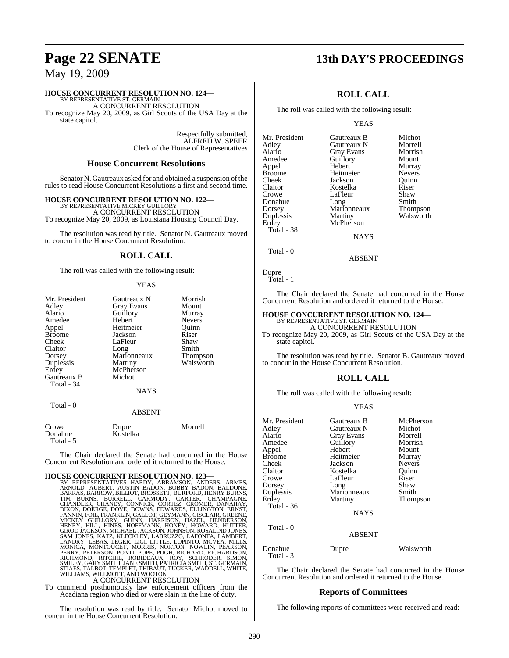# **Page 22 SENATE 13th DAY'S PROCEEDINGS**

## May 19, 2009

#### **HOUSE CONCURRENT RESOLUTION NO. 124—**

BY REPRESENTATIVE ST. GERMAIN A CONCURRENT RESOLUTION

To recognize May 20, 2009, as Girl Scouts of the USA Day at the state capitol.

> Respectfully submitted, ALFRED W. SPEER Clerk of the House of Representatives

#### **House Concurrent Resolutions**

Senator N. Gautreaux asked for and obtained a suspension of the rules to read House Concurrent Resolutions a first and second time.

**HOUSE CONCURRENT RESOLUTION NO. 122—**

BY REPRESENTATIVE MICKEY GUILLORY A CONCURRENT RESOLUTION To recognize May 20, 2009, as Louisiana Housing Council Day.

The resolution was read by title. Senator N. Gautreaux moved to concur in the House Concurrent Resolution.

#### **ROLL CALL**

The roll was called with the following result:

#### YEAS

| Mr. President<br>Adley<br>Alario<br>Amedee<br>Appel<br><b>Broome</b><br>Cheek<br>Claitor | Gautreaux N<br><b>Gray Evans</b><br>Guillory<br>Hebert<br>Heitmeier<br>Jackson<br>LaFleur<br>Long | Morrish<br>Mount<br>Murray<br><b>Nevers</b><br>Ouinn<br>Riser<br>Shaw<br>Smith |
|------------------------------------------------------------------------------------------|---------------------------------------------------------------------------------------------------|--------------------------------------------------------------------------------|
| Dorsey<br>Duplessis                                                                      | Marionneaux<br>Martiny                                                                            | Thompson<br>Walsworth                                                          |
| Erdey                                                                                    | McPherson                                                                                         |                                                                                |
| Gautreaux B                                                                              | Michot                                                                                            |                                                                                |
| Total - 34                                                                               | NAYS                                                                                              |                                                                                |
| Total - 0                                                                                | <b>ABSENT</b>                                                                                     |                                                                                |
| Crowe                                                                                    | Dupre                                                                                             | Morrell                                                                        |

Donahue Kostelka Total - 5

The Chair declared the Senate had concurred in the House Concurrent Resolution and ordered it returned to the House.

HOUSE CONCURRENT RESOLUTION NO. 123-<br>BY REPRESENTATIVES HARDY, ABRAMSON, ANDERS, ARMES, ARNOLD, AUBERT, AUSTIN BADON, BOBBY BADON, BALDONE, BARRAS, BARROW, BILLIOT, BROSSETT, BURFORD, HENRY BURNS, TIM BURNS, BURREL, CARMOD

To commend posthumously law enforcement officers from the To commend posthumously law enforcement officers from the Acadiana region who died or were slain in the line of duty.

The resolution was read by title. Senator Michot moved to concur in the House Concurrent Resolution.

## **ROLL CALL**

The roll was called with the following result:

#### YEAS

| Mr. President | Gautreaux B       |
|---------------|-------------------|
| Adley         | Gautreaux N       |
| Alario        | <b>Gray Evans</b> |
| Amedee        | Guillory          |
| Appel         | Hebert            |
| <b>Broome</b> | Heitmeier         |
| Cheek         | Jackson           |
| Claitor       | Kostelka          |
| Crowe         | LaFleur           |
| Donahue       | Long              |
| Dorsey        | Marionneaux       |
| Duplessis     | Martiny           |
| Erdey         | McPherson         |
| Total - 38    |                   |
|               | <b>BTA TTA</b>    |

Gautreaux B Michot<br>Gautreaux N Morrell Alario Gray Evans Morrish Murray<br>Nevers Heitmeier Nevers<br>Fackson Ouinn lackson Quinn<br>Kostelka Riser Kostelka Riser<br>LaFleur Shaw Smith<br>Thompson Walsworth

**NAYS** 

Total - 0

ABSENT

Dupre Total - 1

The Chair declared the Senate had concurred in the House Concurrent Resolution and ordered it returned to the House.

# **HOUSE CONCURRENT RESOLUTION NO. 124—**

BY REPRESENTATIVE ST. GERMAIN A CONCURRENT RESOLUTION

To recognize May 20, 2009, as Girl Scouts of the USA Day at the state capitol.

The resolution was read by title. Senator B. Gautreaux moved to concur in the House Concurrent Resolution.

### **ROLL CALL**

The roll was called with the following result:

#### YEAS

| Mr. President<br>Adley<br>Alario<br>Amedee<br>Appel<br><b>Broome</b><br>Cheek<br>Claitor<br>Crowe<br>Dorsey<br>Duplessis<br>Erdey<br>Total $-36$ | Gautreaux B<br>Gautreaux N<br>Gray Evans<br>Guillory<br>Hebert<br>Heitmeier<br>Jackson<br>Kostelka<br>LaFleur<br>Long<br>Marionneaux<br>Martiny<br><b>NAYS</b> | McPherson<br>Michot<br>Morrell<br>Morrish<br>Mount<br>Murray<br><b>Nevers</b><br>Ouinn<br>Riser<br>Shaw<br>Smith<br>Thompson |
|--------------------------------------------------------------------------------------------------------------------------------------------------|----------------------------------------------------------------------------------------------------------------------------------------------------------------|------------------------------------------------------------------------------------------------------------------------------|
| Total - 0                                                                                                                                        | <b>ABSENT</b>                                                                                                                                                  |                                                                                                                              |
| Donahue                                                                                                                                          | Dupre                                                                                                                                                          | Walsworth                                                                                                                    |

Total - 3

The Chair declared the Senate had concurred in the House Concurrent Resolution and ordered it returned to the House.

#### **Reports of Committees**

The following reports of committees were received and read: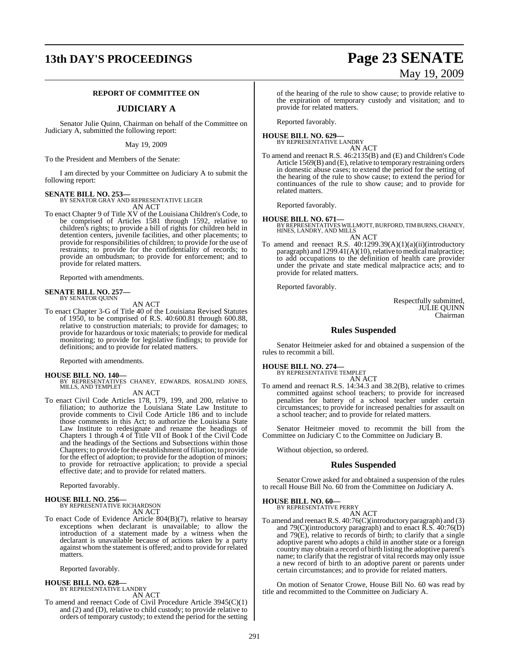# **13th DAY'S PROCEEDINGS Page 23 SENATE**

### **REPORT OF COMMITTEE ON**

#### **JUDICIARY A**

Senator Julie Quinn, Chairman on behalf of the Committee on Judiciary A, submitted the following report:

May 19, 2009

To the President and Members of the Senate:

I am directed by your Committee on Judiciary A to submit the following report:

#### **SENATE BILL NO. 253—**

BY SENATOR GRAY AND REPRESENTATIVE LEGER

AN ACT To enact Chapter 9 of Title XV of the Louisiana Children's Code, to be comprised of Articles 1581 through 1592, relative to children's rights; to provide a bill of rights for children held in detention centers, juvenile facilities, and other placements; to provide for responsibilities of children; to provide for the use of restraints; to provide for the confidentiality of records; to provide an ombudsman; to provide for enforcement; and to provide for related matters.

Reported with amendments.

#### **SENATE BILL NO. 257—** BY SENATOR QUINN

AN ACT

To enact Chapter 3-G of Title 40 of the Louisiana Revised Statutes of 1950, to be comprised of R.S. 40:600.81 through 600.88, relative to construction materials; to provide for damages; to provide for hazardous or toxic materials; to provide for medical monitoring; to provide for legislative findings; to provide for definitions; and to provide for related matters.

Reported with amendments.

**HOUSE BILL NO. 140—** BY REPRESENTATIVES CHANEY, EDWARDS, ROSALIND JONES, MILLS, AND TEMPLET AN ACT

- 
- To enact Civil Code Articles 178, 179, 199, and 200, relative to filiation; to authorize the Louisiana State Law Institute to provide comments to Civil Code Article 186 and to include those comments in this Act; to authorize the Louisiana State Law Institute to redesignate and rename the headings of Chapters 1 through 4 of Title VII of Book I of the Civil Code and the headings of the Sections and Subsections within those Chapters; to provide for the establishment of filiation; to provide for the effect of adoption; to provide for the adoption of minors; to provide for retroactive application; to provide a special effective date; and to provide for related matters.

Reported favorably.

# **HOUSE BILL NO. 256—** BY REPRESENTATIVE RICHARDSON

AN ACT

To enact Code of Evidence Article 804(B)(7), relative to hearsay exceptions when declarant is unavailable; to allow the introduction of a statement made by a witness when the declarant is unavailable because of actions taken by a party against whom the statement is offered; and to provide for related matters.

Reported favorably.

#### **HOUSE BILL NO. 628—**

BY REPRESENTATIVE LANDRY AN ACT

To amend and reenact Code of Civil Procedure Article 3945(C)(1) and (2) and (D), relative to child custody; to provide relative to orders of temporary custody; to extend the period for the setting

of the hearing of the rule to show cause; to provide relative to the expiration of temporary custody and visitation; and to provide for related matters.

Reported favorably.

**HOUSE BILL NO. 629—** BY REPRESENTATIVE LANDRY

AN ACT

To amend and reenact R.S. 46:2135(B) and (E) and Children's Code Article 1569(B) and (E), relative to temporary restraining orders in domestic abuse cases; to extend the period for the setting of the hearing of the rule to show cause; to extend the period for continuances of the rule to show cause; and to provide for related matters.

Reported favorably.

**HOUSE BILL NO. 671—** BY REPRESENTATIVESWILLMOTT,BURFORD,TIM BURNS, CHANEY, HINES, LANDRY, AND MILLS AN ACT

To amend and reenact R.S. 40:1299.39(A)(1)(a)(ii)(introductory paragraph) and 1299.41(A)(10), relative to medical malpractice; to add occupations to the definition of health care provider under the private and state medical malpractice acts; and to provide for related matters.

Reported favorably.

Respectfully submitted, JULIE QUINN Chairman

#### **Rules Suspended**

Senator Heitmeier asked for and obtained a suspension of the rules to recommit a bill.

### **HOUSE BILL NO. 274—**

BY REPRESENTATIVE TEMPLET AN ACT

To amend and reenact R.S. 14:34.3 and 38.2(B), relative to crimes committed against school teachers; to provide for increased penalties for battery of a school teacher under certain circumstances; to provide for increased penalties for assault on a school teacher; and to provide for related matters.

Senator Heitmeier moved to recommit the bill from the Committee on Judiciary C to the Committee on Judiciary B.

Without objection, so ordered.

#### **Rules Suspended**

Senator Crowe asked for and obtained a suspension of the rules to recall House Bill No. 60 from the Committee on Judiciary A.

# **HOUSE BILL NO. 60—** BY REPRESENTATIVE PERRY

AN ACT

To amend and reenact R.S. 40:76(C)(introductory paragraph) and (3) and  $79(C)$ (introductory paragraph) and to enact  $\overline{R}$ . S. 40:76(D) and  $79(E)$ , relative to records of birth; to clarify that a single adoptive parent who adopts a child in another state or a foreign country may obtain a record of birth listing the adoptive parent's name; to clarify that the registrar of vital records may only issue a new record of birth to an adoptive parent or parents under certain circumstances; and to provide for related matters.

On motion of Senator Crowe, House Bill No. 60 was read by title and recommitted to the Committee on Judiciary A.

# May 19, 2009